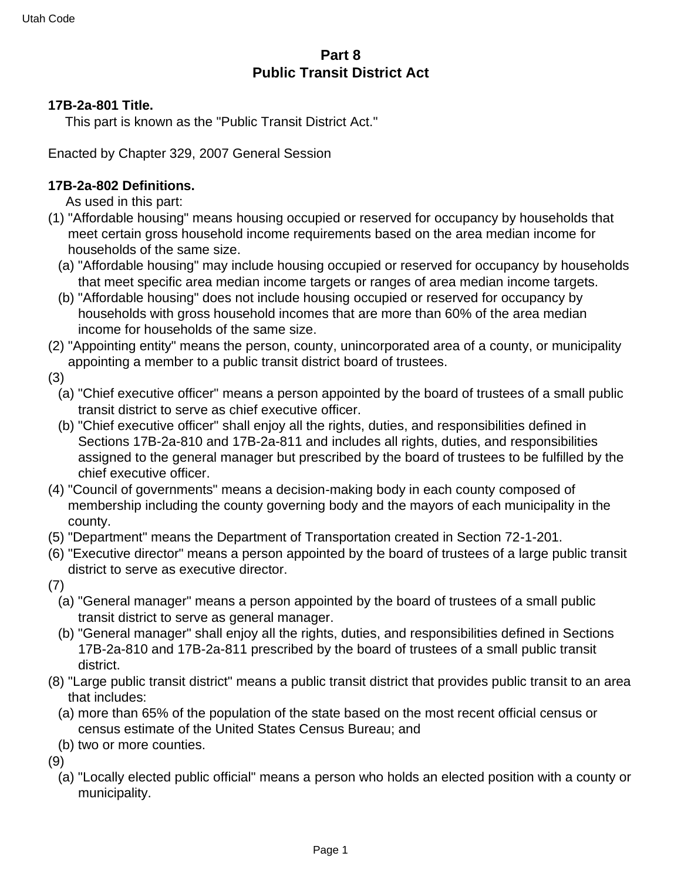## **Part 8 Public Transit District Act**

#### **17B-2a-801 Title.**

This part is known as the "Public Transit District Act."

Enacted by Chapter 329, 2007 General Session

### **17B-2a-802 Definitions.**

As used in this part:

- (1) "Affordable housing" means housing occupied or reserved for occupancy by households that meet certain gross household income requirements based on the area median income for households of the same size.
	- (a) "Affordable housing" may include housing occupied or reserved for occupancy by households that meet specific area median income targets or ranges of area median income targets.
	- (b) "Affordable housing" does not include housing occupied or reserved for occupancy by households with gross household incomes that are more than 60% of the area median income for households of the same size.
- (2) "Appointing entity" means the person, county, unincorporated area of a county, or municipality appointing a member to a public transit district board of trustees.
- (3)
	- (a) "Chief executive officer" means a person appointed by the board of trustees of a small public transit district to serve as chief executive officer.
	- (b) "Chief executive officer" shall enjoy all the rights, duties, and responsibilities defined in Sections 17B-2a-810 and 17B-2a-811 and includes all rights, duties, and responsibilities assigned to the general manager but prescribed by the board of trustees to be fulfilled by the chief executive officer.
- (4) "Council of governments" means a decision-making body in each county composed of membership including the county governing body and the mayors of each municipality in the county.
- (5) "Department" means the Department of Transportation created in Section 72-1-201.
- (6) "Executive director" means a person appointed by the board of trustees of a large public transit district to serve as executive director.
- (7)
	- (a) "General manager" means a person appointed by the board of trustees of a small public transit district to serve as general manager.
	- (b) "General manager" shall enjoy all the rights, duties, and responsibilities defined in Sections 17B-2a-810 and 17B-2a-811 prescribed by the board of trustees of a small public transit district.
- (8) "Large public transit district" means a public transit district that provides public transit to an area that includes:
	- (a) more than 65% of the population of the state based on the most recent official census or census estimate of the United States Census Bureau; and
	- (b) two or more counties.

(9)

(a) "Locally elected public official" means a person who holds an elected position with a county or municipality.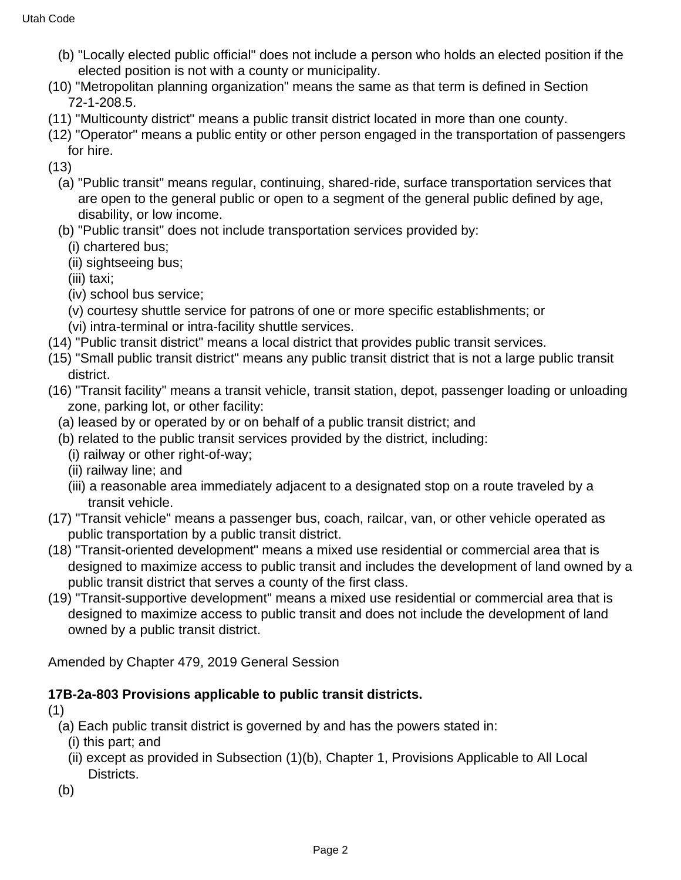- (b) "Locally elected public official" does not include a person who holds an elected position if the elected position is not with a county or municipality.
- (10) "Metropolitan planning organization" means the same as that term is defined in Section 72-1-208.5.
- (11) "Multicounty district" means a public transit district located in more than one county.
- (12) "Operator" means a public entity or other person engaged in the transportation of passengers for hire.
- (13)
	- (a) "Public transit" means regular, continuing, shared-ride, surface transportation services that are open to the general public or open to a segment of the general public defined by age, disability, or low income.
	- (b) "Public transit" does not include transportation services provided by:
		- (i) chartered bus;
		- (ii) sightseeing bus;
		- (iii) taxi;
		- (iv) school bus service;
		- (v) courtesy shuttle service for patrons of one or more specific establishments; or
		- (vi) intra-terminal or intra-facility shuttle services.
- (14) "Public transit district" means a local district that provides public transit services.
- (15) "Small public transit district" means any public transit district that is not a large public transit district.
- (16) "Transit facility" means a transit vehicle, transit station, depot, passenger loading or unloading zone, parking lot, or other facility:
	- (a) leased by or operated by or on behalf of a public transit district; and
	- (b) related to the public transit services provided by the district, including:
		- (i) railway or other right-of-way;
		- (ii) railway line; and
		- (iii) a reasonable area immediately adjacent to a designated stop on a route traveled by a transit vehicle.
- (17) "Transit vehicle" means a passenger bus, coach, railcar, van, or other vehicle operated as public transportation by a public transit district.
- (18) "Transit-oriented development" means a mixed use residential or commercial area that is designed to maximize access to public transit and includes the development of land owned by a public transit district that serves a county of the first class.
- (19) "Transit-supportive development" means a mixed use residential or commercial area that is designed to maximize access to public transit and does not include the development of land owned by a public transit district.

Amended by Chapter 479, 2019 General Session

## **17B-2a-803 Provisions applicable to public transit districts.**

(1)

- (a) Each public transit district is governed by and has the powers stated in:
	- (i) this part; and
	- (ii) except as provided in Subsection (1)(b), Chapter 1, Provisions Applicable to All Local Districts.
- (b)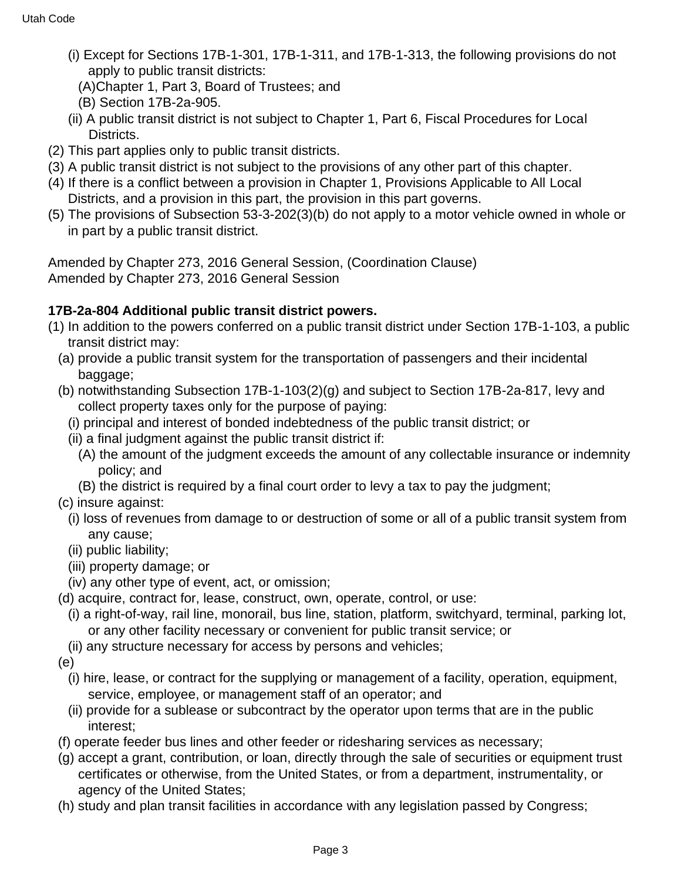- (i) Except for Sections 17B-1-301, 17B-1-311, and 17B-1-313, the following provisions do not apply to public transit districts:
	- (A)Chapter 1, Part 3, Board of Trustees; and
	- (B) Section 17B-2a-905.
- (ii) A public transit district is not subject to Chapter 1, Part 6, Fiscal Procedures for Local Districts.
- (2) This part applies only to public transit districts.
- (3) A public transit district is not subject to the provisions of any other part of this chapter.
- (4) If there is a conflict between a provision in Chapter 1, Provisions Applicable to All Local Districts, and a provision in this part, the provision in this part governs.
- (5) The provisions of Subsection 53-3-202(3)(b) do not apply to a motor vehicle owned in whole or in part by a public transit district.

Amended by Chapter 273, 2016 General Session, (Coordination Clause) Amended by Chapter 273, 2016 General Session

## **17B-2a-804 Additional public transit district powers.**

- (1) In addition to the powers conferred on a public transit district under Section 17B-1-103, a public transit district may:
	- (a) provide a public transit system for the transportation of passengers and their incidental baggage;
	- (b) notwithstanding Subsection 17B-1-103(2)(g) and subject to Section 17B-2a-817, levy and collect property taxes only for the purpose of paying:
		- (i) principal and interest of bonded indebtedness of the public transit district; or
		- (ii) a final judgment against the public transit district if:
			- (A) the amount of the judgment exceeds the amount of any collectable insurance or indemnity policy; and
			- (B) the district is required by a final court order to levy a tax to pay the judgment;
	- (c) insure against:
		- (i) loss of revenues from damage to or destruction of some or all of a public transit system from any cause;
		- (ii) public liability;
		- (iii) property damage; or
	- (iv) any other type of event, act, or omission;
	- (d) acquire, contract for, lease, construct, own, operate, control, or use:
		- (i) a right-of-way, rail line, monorail, bus line, station, platform, switchyard, terminal, parking lot, or any other facility necessary or convenient for public transit service; or
		- (ii) any structure necessary for access by persons and vehicles;
	- (e)
		- (i) hire, lease, or contract for the supplying or management of a facility, operation, equipment, service, employee, or management staff of an operator; and
		- (ii) provide for a sublease or subcontract by the operator upon terms that are in the public interest;
	- (f) operate feeder bus lines and other feeder or ridesharing services as necessary;
	- (g) accept a grant, contribution, or loan, directly through the sale of securities or equipment trust certificates or otherwise, from the United States, or from a department, instrumentality, or agency of the United States;
	- (h) study and plan transit facilities in accordance with any legislation passed by Congress;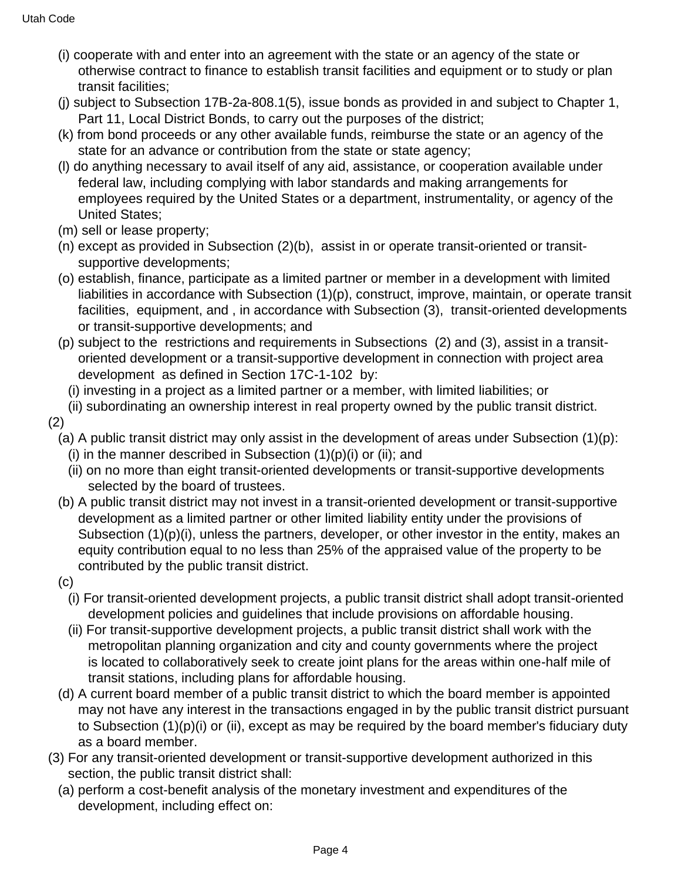- (i) cooperate with and enter into an agreement with the state or an agency of the state or otherwise contract to finance to establish transit facilities and equipment or to study or plan transit facilities;
- (j) subject to Subsection 17B-2a-808.1(5), issue bonds as provided in and subject to Chapter 1, Part 11, Local District Bonds, to carry out the purposes of the district;
- (k) from bond proceeds or any other available funds, reimburse the state or an agency of the state for an advance or contribution from the state or state agency;
- (l) do anything necessary to avail itself of any aid, assistance, or cooperation available under federal law, including complying with labor standards and making arrangements for employees required by the United States or a department, instrumentality, or agency of the United States;
- (m) sell or lease property;
- (n) except as provided in Subsection (2)(b), assist in or operate transit-oriented or transitsupportive developments;
- (o) establish, finance, participate as a limited partner or member in a development with limited liabilities in accordance with Subsection (1)(p), construct, improve, maintain, or operate transit facilities, equipment, and , in accordance with Subsection (3), transit-oriented developments or transit-supportive developments; and
- (p) subject to the restrictions and requirements in Subsections (2) and (3), assist in a transitoriented development or a transit-supportive development in connection with project area development as defined in Section 17C-1-102 by:
	- (i) investing in a project as a limited partner or a member, with limited liabilities; or
- (ii) subordinating an ownership interest in real property owned by the public transit district.
- (2)
	- (a) A public transit district may only assist in the development of areas under Subsection (1)(p):
		- (i) in the manner described in Subsection  $(1)(p)(i)$  or (ii); and
		- (ii) on no more than eight transit-oriented developments or transit-supportive developments selected by the board of trustees.
	- (b) A public transit district may not invest in a transit-oriented development or transit-supportive development as a limited partner or other limited liability entity under the provisions of Subsection (1)(p)(i), unless the partners, developer, or other investor in the entity, makes an equity contribution equal to no less than 25% of the appraised value of the property to be contributed by the public transit district.
	- (c)
		- (i) For transit-oriented development projects, a public transit district shall adopt transit-oriented development policies and guidelines that include provisions on affordable housing.
		- (ii) For transit-supportive development projects, a public transit district shall work with the metropolitan planning organization and city and county governments where the project is located to collaboratively seek to create joint plans for the areas within one-half mile of transit stations, including plans for affordable housing.
	- (d) A current board member of a public transit district to which the board member is appointed may not have any interest in the transactions engaged in by the public transit district pursuant to Subsection (1)(p)(i) or (ii), except as may be required by the board member's fiduciary duty as a board member.
- (3) For any transit-oriented development or transit-supportive development authorized in this section, the public transit district shall:
	- (a) perform a cost-benefit analysis of the monetary investment and expenditures of the development, including effect on: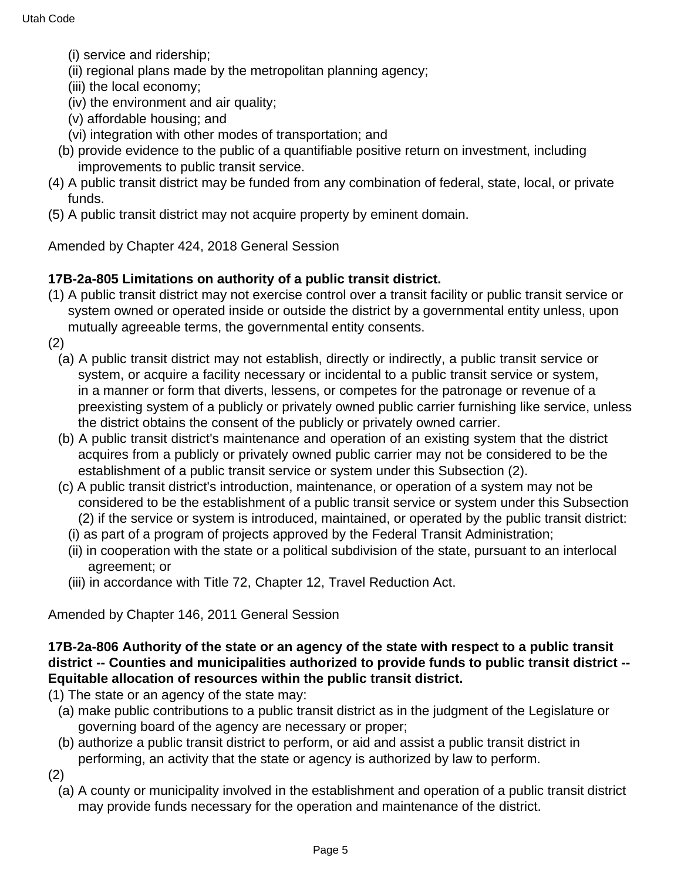- (i) service and ridership;
- (ii) regional plans made by the metropolitan planning agency;
- (iii) the local economy;
- (iv) the environment and air quality;
- (v) affordable housing; and
- (vi) integration with other modes of transportation; and
- (b) provide evidence to the public of a quantifiable positive return on investment, including improvements to public transit service.
- (4) A public transit district may be funded from any combination of federal, state, local, or private funds.
- (5) A public transit district may not acquire property by eminent domain.

Amended by Chapter 424, 2018 General Session

## **17B-2a-805 Limitations on authority of a public transit district.**

- (1) A public transit district may not exercise control over a transit facility or public transit service or system owned or operated inside or outside the district by a governmental entity unless, upon mutually agreeable terms, the governmental entity consents.
- (2)
	- (a) A public transit district may not establish, directly or indirectly, a public transit service or system, or acquire a facility necessary or incidental to a public transit service or system, in a manner or form that diverts, lessens, or competes for the patronage or revenue of a preexisting system of a publicly or privately owned public carrier furnishing like service, unless the district obtains the consent of the publicly or privately owned carrier.
	- (b) A public transit district's maintenance and operation of an existing system that the district acquires from a publicly or privately owned public carrier may not be considered to be the establishment of a public transit service or system under this Subsection (2).
	- (c) A public transit district's introduction, maintenance, or operation of a system may not be considered to be the establishment of a public transit service or system under this Subsection (2) if the service or system is introduced, maintained, or operated by the public transit district:
		- (i) as part of a program of projects approved by the Federal Transit Administration;
		- (ii) in cooperation with the state or a political subdivision of the state, pursuant to an interlocal agreement; or
		- (iii) in accordance with Title 72, Chapter 12, Travel Reduction Act.

Amended by Chapter 146, 2011 General Session

### **17B-2a-806 Authority of the state or an agency of the state with respect to a public transit district -- Counties and municipalities authorized to provide funds to public transit district -- Equitable allocation of resources within the public transit district.**

- (1) The state or an agency of the state may:
	- (a) make public contributions to a public transit district as in the judgment of the Legislature or governing board of the agency are necessary or proper;
	- (b) authorize a public transit district to perform, or aid and assist a public transit district in performing, an activity that the state or agency is authorized by law to perform.
- (2)
	- (a) A county or municipality involved in the establishment and operation of a public transit district may provide funds necessary for the operation and maintenance of the district.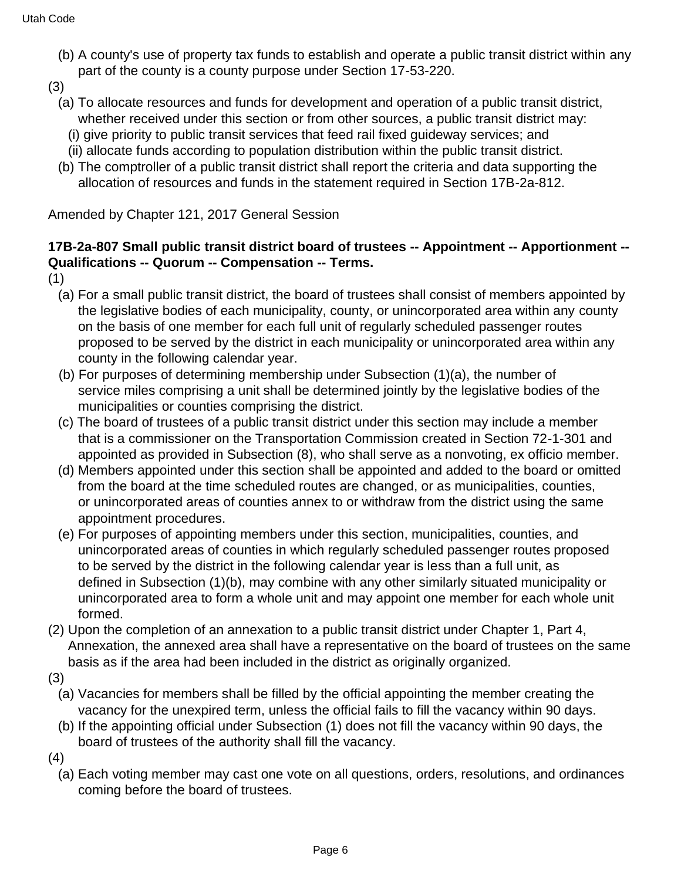- (b) A county's use of property tax funds to establish and operate a public transit district within any part of the county is a county purpose under Section 17-53-220.
- (3)
	- (a) To allocate resources and funds for development and operation of a public transit district, whether received under this section or from other sources, a public transit district may:
		- (i) give priority to public transit services that feed rail fixed guideway services; and
		- (ii) allocate funds according to population distribution within the public transit district.
	- (b) The comptroller of a public transit district shall report the criteria and data supporting the allocation of resources and funds in the statement required in Section 17B-2a-812.

Amended by Chapter 121, 2017 General Session

### **17B-2a-807 Small public transit district board of trustees -- Appointment -- Apportionment -- Qualifications -- Quorum -- Compensation -- Terms.**

- (1)
	- (a) For a small public transit district, the board of trustees shall consist of members appointed by the legislative bodies of each municipality, county, or unincorporated area within any county on the basis of one member for each full unit of regularly scheduled passenger routes proposed to be served by the district in each municipality or unincorporated area within any county in the following calendar year.
	- (b) For purposes of determining membership under Subsection (1)(a), the number of service miles comprising a unit shall be determined jointly by the legislative bodies of the municipalities or counties comprising the district.
	- (c) The board of trustees of a public transit district under this section may include a member that is a commissioner on the Transportation Commission created in Section 72-1-301 and appointed as provided in Subsection (8), who shall serve as a nonvoting, ex officio member.
	- (d) Members appointed under this section shall be appointed and added to the board or omitted from the board at the time scheduled routes are changed, or as municipalities, counties, or unincorporated areas of counties annex to or withdraw from the district using the same appointment procedures.
	- (e) For purposes of appointing members under this section, municipalities, counties, and unincorporated areas of counties in which regularly scheduled passenger routes proposed to be served by the district in the following calendar year is less than a full unit, as defined in Subsection (1)(b), may combine with any other similarly situated municipality or unincorporated area to form a whole unit and may appoint one member for each whole unit formed.
- (2) Upon the completion of an annexation to a public transit district under Chapter 1, Part 4, Annexation, the annexed area shall have a representative on the board of trustees on the same basis as if the area had been included in the district as originally organized.
- (3)
	- (a) Vacancies for members shall be filled by the official appointing the member creating the vacancy for the unexpired term, unless the official fails to fill the vacancy within 90 days.
	- (b) If the appointing official under Subsection (1) does not fill the vacancy within 90 days, the board of trustees of the authority shall fill the vacancy.
- (4)
	- (a) Each voting member may cast one vote on all questions, orders, resolutions, and ordinances coming before the board of trustees.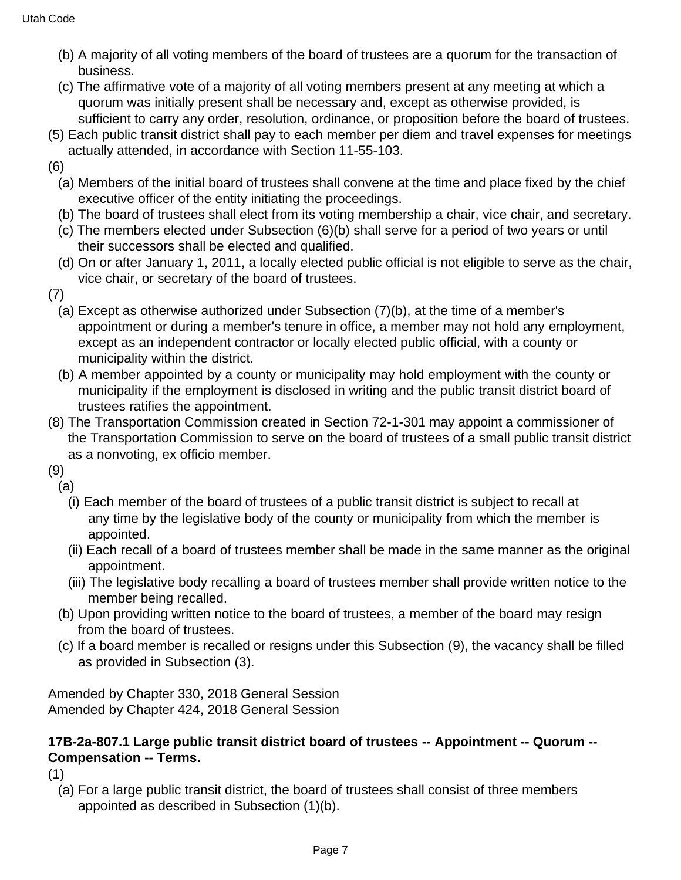- (b) A majority of all voting members of the board of trustees are a quorum for the transaction of business.
- (c) The affirmative vote of a majority of all voting members present at any meeting at which a quorum was initially present shall be necessary and, except as otherwise provided, is sufficient to carry any order, resolution, ordinance, or proposition before the board of trustees.
- (5) Each public transit district shall pay to each member per diem and travel expenses for meetings actually attended, in accordance with Section 11-55-103.
- (6)
	- (a) Members of the initial board of trustees shall convene at the time and place fixed by the chief executive officer of the entity initiating the proceedings.
	- (b) The board of trustees shall elect from its voting membership a chair, vice chair, and secretary.
	- (c) The members elected under Subsection (6)(b) shall serve for a period of two years or until their successors shall be elected and qualified.
	- (d) On or after January 1, 2011, a locally elected public official is not eligible to serve as the chair, vice chair, or secretary of the board of trustees.
- (7)
	- (a) Except as otherwise authorized under Subsection (7)(b), at the time of a member's appointment or during a member's tenure in office, a member may not hold any employment, except as an independent contractor or locally elected public official, with a county or municipality within the district.
	- (b) A member appointed by a county or municipality may hold employment with the county or municipality if the employment is disclosed in writing and the public transit district board of trustees ratifies the appointment.
- (8) The Transportation Commission created in Section 72-1-301 may appoint a commissioner of the Transportation Commission to serve on the board of trustees of a small public transit district as a nonvoting, ex officio member.
- (9)
- (a)
	- (i) Each member of the board of trustees of a public transit district is subject to recall at any time by the legislative body of the county or municipality from which the member is appointed.
	- (ii) Each recall of a board of trustees member shall be made in the same manner as the original appointment.
	- (iii) The legislative body recalling a board of trustees member shall provide written notice to the member being recalled.
- (b) Upon providing written notice to the board of trustees, a member of the board may resign from the board of trustees.
- (c) If a board member is recalled or resigns under this Subsection (9), the vacancy shall be filled as provided in Subsection (3).

Amended by Chapter 330, 2018 General Session Amended by Chapter 424, 2018 General Session

## **17B-2a-807.1 Large public transit district board of trustees -- Appointment -- Quorum -- Compensation -- Terms.**

(1)

(a) For a large public transit district, the board of trustees shall consist of three members appointed as described in Subsection (1)(b).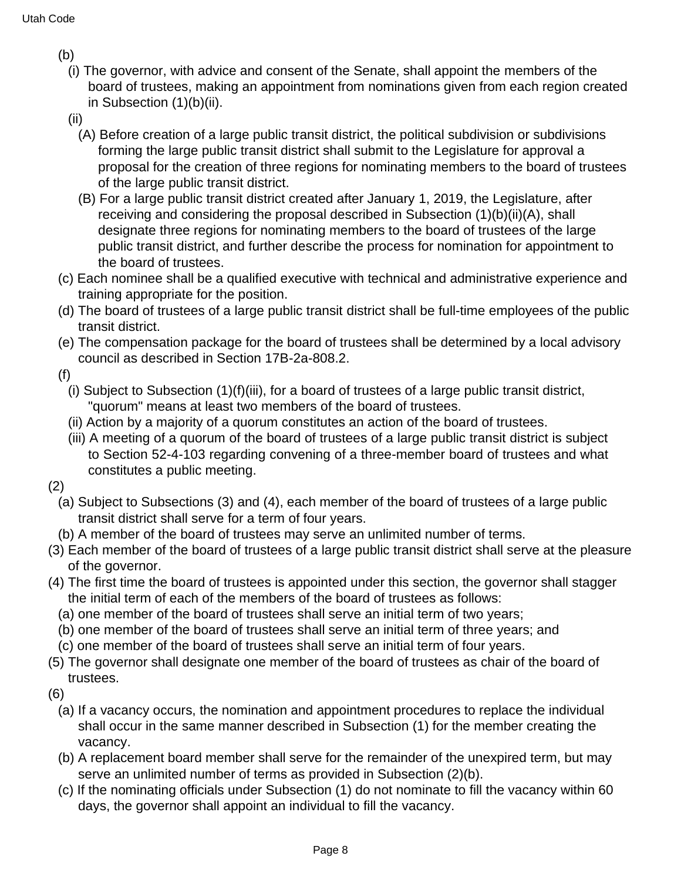- (b)
	- (i) The governor, with advice and consent of the Senate, shall appoint the members of the board of trustees, making an appointment from nominations given from each region created in Subsection (1)(b)(ii).
	- (ii)
		- (A) Before creation of a large public transit district, the political subdivision or subdivisions forming the large public transit district shall submit to the Legislature for approval a proposal for the creation of three regions for nominating members to the board of trustees of the large public transit district.
		- (B) For a large public transit district created after January 1, 2019, the Legislature, after receiving and considering the proposal described in Subsection (1)(b)(ii)(A), shall designate three regions for nominating members to the board of trustees of the large public transit district, and further describe the process for nomination for appointment to the board of trustees.
- (c) Each nominee shall be a qualified executive with technical and administrative experience and training appropriate for the position.
- (d) The board of trustees of a large public transit district shall be full-time employees of the public transit district.
- (e) The compensation package for the board of trustees shall be determined by a local advisory council as described in Section 17B-2a-808.2.
- (f)
	- (i) Subject to Subsection (1)(f)(iii), for a board of trustees of a large public transit district, "quorum" means at least two members of the board of trustees.
	- (ii) Action by a majority of a quorum constitutes an action of the board of trustees.
	- (iii) A meeting of a quorum of the board of trustees of a large public transit district is subject to Section 52-4-103 regarding convening of a three-member board of trustees and what constitutes a public meeting.
- (2)
	- (a) Subject to Subsections (3) and (4), each member of the board of trustees of a large public transit district shall serve for a term of four years.
	- (b) A member of the board of trustees may serve an unlimited number of terms.
- (3) Each member of the board of trustees of a large public transit district shall serve at the pleasure of the governor.
- (4) The first time the board of trustees is appointed under this section, the governor shall stagger the initial term of each of the members of the board of trustees as follows:
	- (a) one member of the board of trustees shall serve an initial term of two years;
	- (b) one member of the board of trustees shall serve an initial term of three years; and
	- (c) one member of the board of trustees shall serve an initial term of four years.
- (5) The governor shall designate one member of the board of trustees as chair of the board of trustees.
- (6)
	- (a) If a vacancy occurs, the nomination and appointment procedures to replace the individual shall occur in the same manner described in Subsection (1) for the member creating the vacancy.
	- (b) A replacement board member shall serve for the remainder of the unexpired term, but may serve an unlimited number of terms as provided in Subsection (2)(b).
	- (c) If the nominating officials under Subsection (1) do not nominate to fill the vacancy within 60 days, the governor shall appoint an individual to fill the vacancy.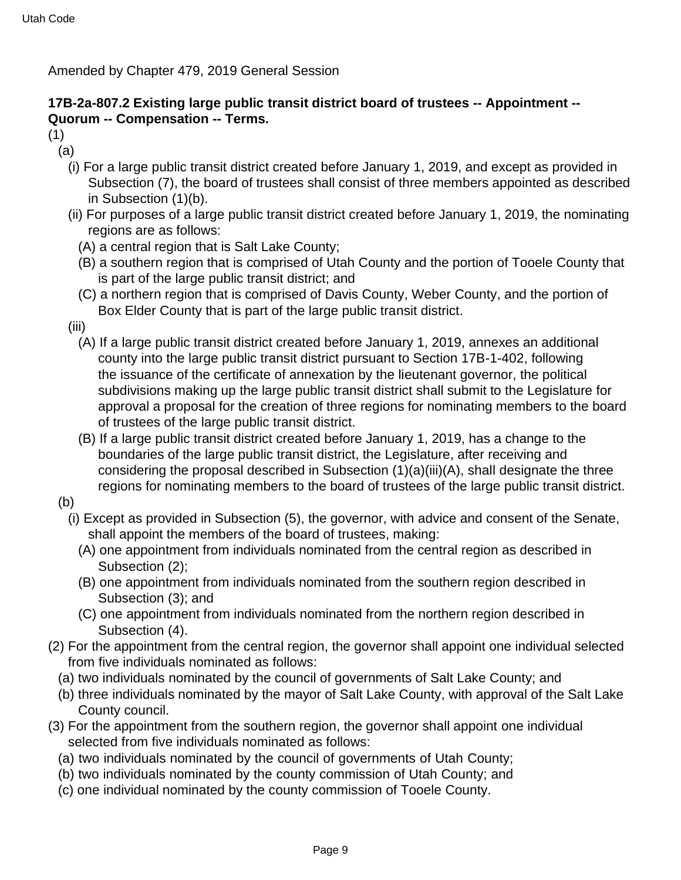Amended by Chapter 479, 2019 General Session

### **17B-2a-807.2 Existing large public transit district board of trustees -- Appointment -- Quorum -- Compensation -- Terms.**

- (1)
	- (a)
		- (i) For a large public transit district created before January 1, 2019, and except as provided in Subsection (7), the board of trustees shall consist of three members appointed as described in Subsection (1)(b).
		- (ii) For purposes of a large public transit district created before January 1, 2019, the nominating regions are as follows:
			- (A) a central region that is Salt Lake County;
			- (B) a southern region that is comprised of Utah County and the portion of Tooele County that is part of the large public transit district; and
			- (C) a northern region that is comprised of Davis County, Weber County, and the portion of Box Elder County that is part of the large public transit district.
		- (iii)
			- (A) If a large public transit district created before January 1, 2019, annexes an additional county into the large public transit district pursuant to Section 17B-1-402, following the issuance of the certificate of annexation by the lieutenant governor, the political subdivisions making up the large public transit district shall submit to the Legislature for approval a proposal for the creation of three regions for nominating members to the board of trustees of the large public transit district.
			- (B) If a large public transit district created before January 1, 2019, has a change to the boundaries of the large public transit district, the Legislature, after receiving and considering the proposal described in Subsection (1)(a)(iii)(A), shall designate the three regions for nominating members to the board of trustees of the large public transit district.
	- (b)
		- (i) Except as provided in Subsection (5), the governor, with advice and consent of the Senate, shall appoint the members of the board of trustees, making:
			- (A) one appointment from individuals nominated from the central region as described in Subsection (2);
			- (B) one appointment from individuals nominated from the southern region described in Subsection (3); and
			- (C) one appointment from individuals nominated from the northern region described in Subsection (4).
- (2) For the appointment from the central region, the governor shall appoint one individual selected from five individuals nominated as follows:
	- (a) two individuals nominated by the council of governments of Salt Lake County; and
	- (b) three individuals nominated by the mayor of Salt Lake County, with approval of the Salt Lake County council.
- (3) For the appointment from the southern region, the governor shall appoint one individual selected from five individuals nominated as follows:
	- (a) two individuals nominated by the council of governments of Utah County;
	- (b) two individuals nominated by the county commission of Utah County; and
	- (c) one individual nominated by the county commission of Tooele County.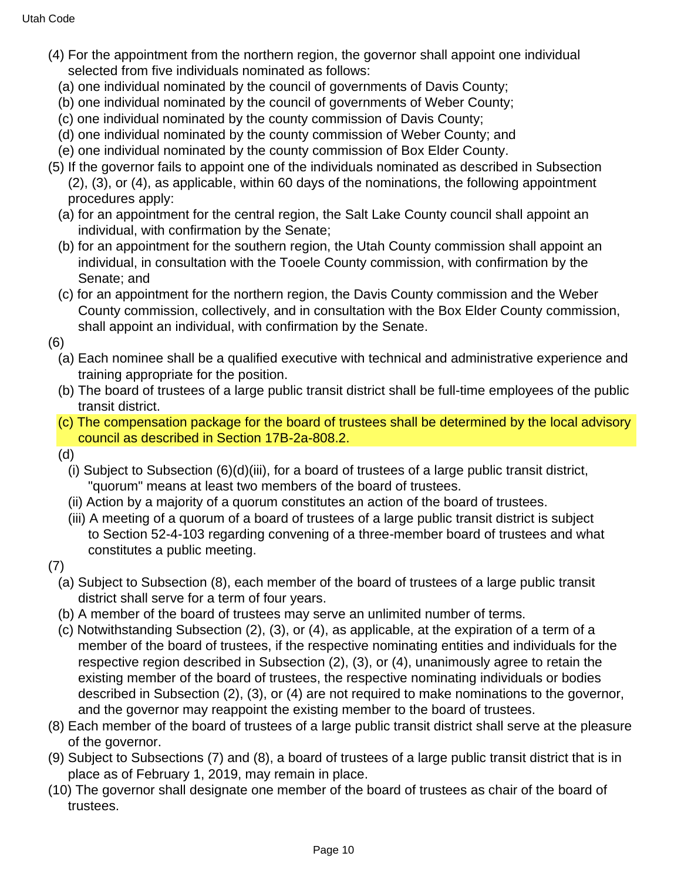- (4) For the appointment from the northern region, the governor shall appoint one individual selected from five individuals nominated as follows:
	- (a) one individual nominated by the council of governments of Davis County;
	- (b) one individual nominated by the council of governments of Weber County;
	- (c) one individual nominated by the county commission of Davis County;
	- (d) one individual nominated by the county commission of Weber County; and
	- (e) one individual nominated by the county commission of Box Elder County.
- (5) If the governor fails to appoint one of the individuals nominated as described in Subsection (2), (3), or (4), as applicable, within 60 days of the nominations, the following appointment procedures apply:
	- (a) for an appointment for the central region, the Salt Lake County council shall appoint an individual, with confirmation by the Senate;
	- (b) for an appointment for the southern region, the Utah County commission shall appoint an individual, in consultation with the Tooele County commission, with confirmation by the Senate; and
	- (c) for an appointment for the northern region, the Davis County commission and the Weber County commission, collectively, and in consultation with the Box Elder County commission, shall appoint an individual, with confirmation by the Senate.
- (6)
	- (a) Each nominee shall be a qualified executive with technical and administrative experience and training appropriate for the position.
	- (b) The board of trustees of a large public transit district shall be full-time employees of the public transit district.
	- (c) The compensation package for the board of trustees shall be determined by the local advisory council as described in Section 17B-2a-808.2.
	- (d)
		- (i) Subject to Subsection (6)(d)(iii), for a board of trustees of a large public transit district, "quorum" means at least two members of the board of trustees.
		- (ii) Action by a majority of a quorum constitutes an action of the board of trustees.
		- (iii) A meeting of a quorum of a board of trustees of a large public transit district is subject to Section 52-4-103 regarding convening of a three-member board of trustees and what constitutes a public meeting.
- (7)
	- (a) Subject to Subsection (8), each member of the board of trustees of a large public transit district shall serve for a term of four years.
	- (b) A member of the board of trustees may serve an unlimited number of terms.
	- (c) Notwithstanding Subsection (2), (3), or (4), as applicable, at the expiration of a term of a member of the board of trustees, if the respective nominating entities and individuals for the respective region described in Subsection (2), (3), or (4), unanimously agree to retain the existing member of the board of trustees, the respective nominating individuals or bodies described in Subsection (2), (3), or (4) are not required to make nominations to the governor, and the governor may reappoint the existing member to the board of trustees.
- (8) Each member of the board of trustees of a large public transit district shall serve at the pleasure of the governor.
- (9) Subject to Subsections (7) and (8), a board of trustees of a large public transit district that is in place as of February 1, 2019, may remain in place.
- (10) The governor shall designate one member of the board of trustees as chair of the board of trustees.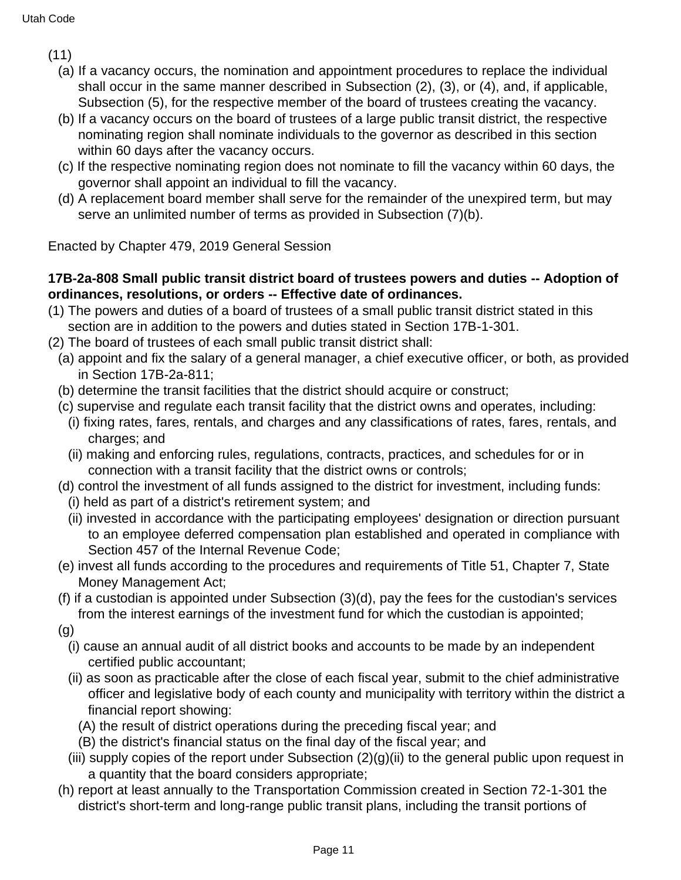- (11)
	- (a) If a vacancy occurs, the nomination and appointment procedures to replace the individual shall occur in the same manner described in Subsection (2), (3), or (4), and, if applicable, Subsection (5), for the respective member of the board of trustees creating the vacancy.
	- (b) If a vacancy occurs on the board of trustees of a large public transit district, the respective nominating region shall nominate individuals to the governor as described in this section within 60 days after the vacancy occurs.
	- (c) If the respective nominating region does not nominate to fill the vacancy within 60 days, the governor shall appoint an individual to fill the vacancy.
	- (d) A replacement board member shall serve for the remainder of the unexpired term, but may serve an unlimited number of terms as provided in Subsection (7)(b).

Enacted by Chapter 479, 2019 General Session

### **17B-2a-808 Small public transit district board of trustees powers and duties -- Adoption of ordinances, resolutions, or orders -- Effective date of ordinances.**

- (1) The powers and duties of a board of trustees of a small public transit district stated in this section are in addition to the powers and duties stated in Section 17B-1-301.
- (2) The board of trustees of each small public transit district shall:
	- (a) appoint and fix the salary of a general manager, a chief executive officer, or both, as provided in Section 17B-2a-811;
	- (b) determine the transit facilities that the district should acquire or construct;
	- (c) supervise and regulate each transit facility that the district owns and operates, including:
		- (i) fixing rates, fares, rentals, and charges and any classifications of rates, fares, rentals, and charges; and
		- (ii) making and enforcing rules, regulations, contracts, practices, and schedules for or in connection with a transit facility that the district owns or controls;
	- (d) control the investment of all funds assigned to the district for investment, including funds:
		- (i) held as part of a district's retirement system; and
		- (ii) invested in accordance with the participating employees' designation or direction pursuant to an employee deferred compensation plan established and operated in compliance with Section 457 of the Internal Revenue Code;
	- (e) invest all funds according to the procedures and requirements of Title 51, Chapter 7, State Money Management Act;
	- (f) if a custodian is appointed under Subsection (3)(d), pay the fees for the custodian's services from the interest earnings of the investment fund for which the custodian is appointed;
	- (g)
		- (i) cause an annual audit of all district books and accounts to be made by an independent certified public accountant;
		- (ii) as soon as practicable after the close of each fiscal year, submit to the chief administrative officer and legislative body of each county and municipality with territory within the district a financial report showing:
			- (A) the result of district operations during the preceding fiscal year; and
			- (B) the district's financial status on the final day of the fiscal year; and
		- (iii) supply copies of the report under Subsection  $(2)(q)(ii)$  to the general public upon request in a quantity that the board considers appropriate;
	- (h) report at least annually to the Transportation Commission created in Section 72-1-301 the district's short-term and long-range public transit plans, including the transit portions of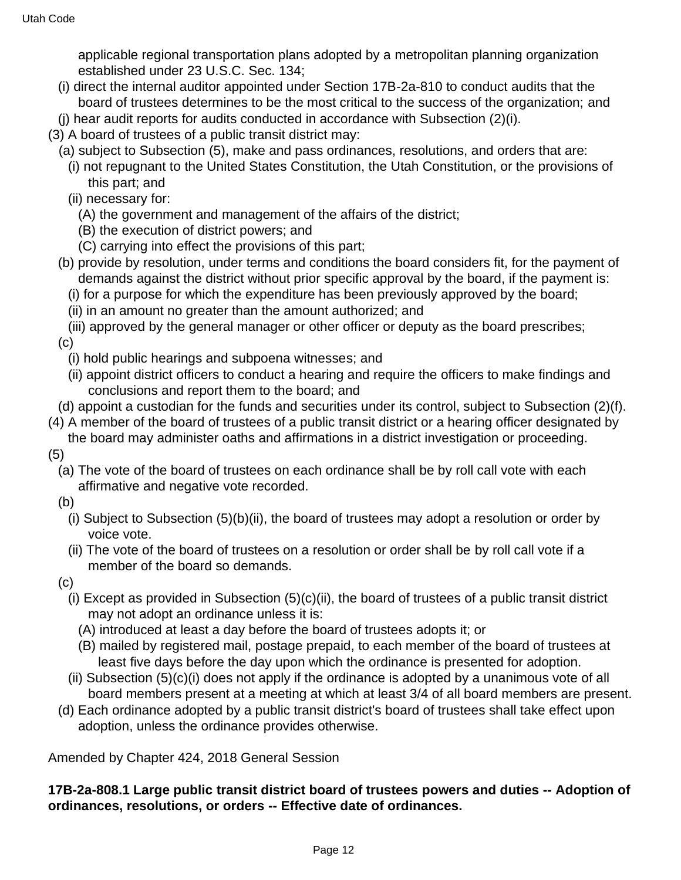applicable regional transportation plans adopted by a metropolitan planning organization established under 23 U.S.C. Sec. 134;

- (i) direct the internal auditor appointed under Section 17B-2a-810 to conduct audits that the board of trustees determines to be the most critical to the success of the organization; and
- (j) hear audit reports for audits conducted in accordance with Subsection (2)(i).
- (3) A board of trustees of a public transit district may:
	- (a) subject to Subsection (5), make and pass ordinances, resolutions, and orders that are:
		- (i) not repugnant to the United States Constitution, the Utah Constitution, or the provisions of this part; and
		- (ii) necessary for:
			- (A) the government and management of the affairs of the district;
			- (B) the execution of district powers; and
			- (C) carrying into effect the provisions of this part;
	- (b) provide by resolution, under terms and conditions the board considers fit, for the payment of demands against the district without prior specific approval by the board, if the payment is:
		- (i) for a purpose for which the expenditure has been previously approved by the board;
		- (ii) in an amount no greater than the amount authorized; and
	- (iii) approved by the general manager or other officer or deputy as the board prescribes; (c)
		- (i) hold public hearings and subpoena witnesses; and
		- (ii) appoint district officers to conduct a hearing and require the officers to make findings and conclusions and report them to the board; and
- (d) appoint a custodian for the funds and securities under its control, subject to Subsection (2)(f).
- (4) A member of the board of trustees of a public transit district or a hearing officer designated by the board may administer oaths and affirmations in a district investigation or proceeding.
- (5)
	- (a) The vote of the board of trustees on each ordinance shall be by roll call vote with each affirmative and negative vote recorded.
	- (b)
		- (i) Subject to Subsection (5)(b)(ii), the board of trustees may adopt a resolution or order by voice vote.
		- (ii) The vote of the board of trustees on a resolution or order shall be by roll call vote if a member of the board so demands.
	- (c)
		- (i) Except as provided in Subsection  $(5)(c)(ii)$ , the board of trustees of a public transit district may not adopt an ordinance unless it is:
			- (A) introduced at least a day before the board of trustees adopts it; or
			- (B) mailed by registered mail, postage prepaid, to each member of the board of trustees at least five days before the day upon which the ordinance is presented for adoption.
		- (ii) Subsection (5)(c)(i) does not apply if the ordinance is adopted by a unanimous vote of all board members present at a meeting at which at least 3/4 of all board members are present.
	- (d) Each ordinance adopted by a public transit district's board of trustees shall take effect upon adoption, unless the ordinance provides otherwise.

Amended by Chapter 424, 2018 General Session

#### **17B-2a-808.1 Large public transit district board of trustees powers and duties -- Adoption of ordinances, resolutions, or orders -- Effective date of ordinances.**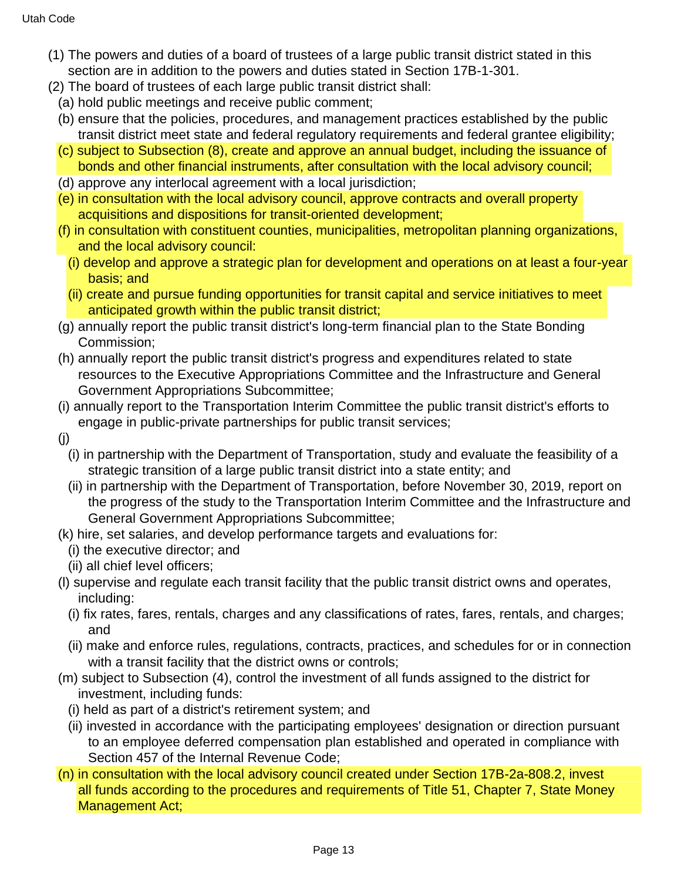- (1) The powers and duties of a board of trustees of a large public transit district stated in this section are in addition to the powers and duties stated in Section 17B-1-301.
- (2) The board of trustees of each large public transit district shall:
- (a) hold public meetings and receive public comment;
- (b) ensure that the policies, procedures, and management practices established by the public transit district meet state and federal regulatory requirements and federal grantee eligibility;
- (c) subject to Subsection (8), create and approve an annual budget, including the issuance of bonds and other financial instruments, after consultation with the local advisory council;
- (d) approve any interlocal agreement with a local jurisdiction;
- (e) in consultation with the local advisory council, approve contracts and overall property acquisitions and dispositions for transit-oriented development;
- (f) in consultation with constituent counties, municipalities, metropolitan planning organizations, and the local advisory council:
	- (i) develop and approve a strategic plan for development and operations on at least a four-year basis; and
	- (ii) create and pursue funding opportunities for transit capital and service initiatives to meet anticipated growth within the public transit district;
- (g) annually report the public transit district's long-term financial plan to the State Bonding Commission;
- (h) annually report the public transit district's progress and expenditures related to state resources to the Executive Appropriations Committee and the Infrastructure and General Government Appropriations Subcommittee;
- (i) annually report to the Transportation Interim Committee the public transit district's efforts to engage in public-private partnerships for public transit services;
- (j)
	- (i) in partnership with the Department of Transportation, study and evaluate the feasibility of a strategic transition of a large public transit district into a state entity; and
	- (ii) in partnership with the Department of Transportation, before November 30, 2019, report on the progress of the study to the Transportation Interim Committee and the Infrastructure and General Government Appropriations Subcommittee;
- (k) hire, set salaries, and develop performance targets and evaluations for:
	- (i) the executive director; and
	- (ii) all chief level officers;
- (l) supervise and regulate each transit facility that the public transit district owns and operates, including:
	- (i) fix rates, fares, rentals, charges and any classifications of rates, fares, rentals, and charges; and
	- (ii) make and enforce rules, regulations, contracts, practices, and schedules for or in connection with a transit facility that the district owns or controls;
- (m) subject to Subsection (4), control the investment of all funds assigned to the district for investment, including funds:
	- (i) held as part of a district's retirement system; and
	- (ii) invested in accordance with the participating employees' designation or direction pursuant to an employee deferred compensation plan established and operated in compliance with Section 457 of the Internal Revenue Code;
- (n) in consultation with the local advisory council created under Section 17B-2a-808.2, invest all funds according to the procedures and requirements of Title 51, Chapter 7, State Money Management Act;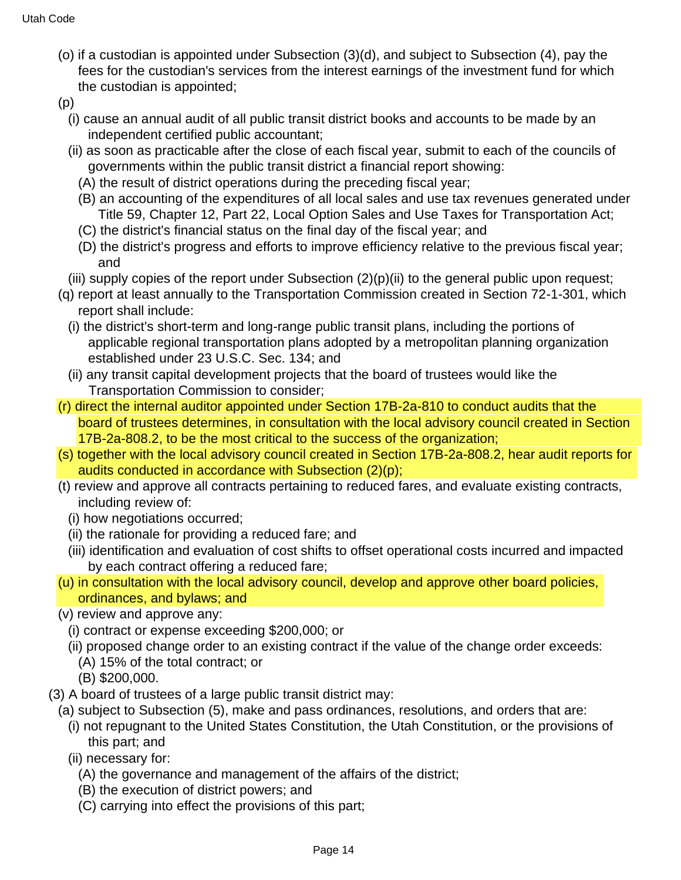- (o) if a custodian is appointed under Subsection (3)(d), and subject to Subsection (4), pay the fees for the custodian's services from the interest earnings of the investment fund for which the custodian is appointed;
- (p)
	- (i) cause an annual audit of all public transit district books and accounts to be made by an independent certified public accountant;
	- (ii) as soon as practicable after the close of each fiscal year, submit to each of the councils of governments within the public transit district a financial report showing:
		- (A) the result of district operations during the preceding fiscal year;
		- (B) an accounting of the expenditures of all local sales and use tax revenues generated under Title 59, Chapter 12, Part 22, Local Option Sales and Use Taxes for Transportation Act;
		- (C) the district's financial status on the final day of the fiscal year; and
		- (D) the district's progress and efforts to improve efficiency relative to the previous fiscal year; and
	- (iii) supply copies of the report under Subsection  $(2)(p)(ii)$  to the general public upon request;
- (q) report at least annually to the Transportation Commission created in Section 72-1-301, which report shall include:
	- (i) the district's short-term and long-range public transit plans, including the portions of applicable regional transportation plans adopted by a metropolitan planning organization established under 23 U.S.C. Sec. 134; and
	- (ii) any transit capital development projects that the board of trustees would like the Transportation Commission to consider;
- (r) direct the internal auditor appointed under Section 17B-2a-810 to conduct audits that the board of trustees determines, in consultation with the local advisory council created in Section 17B-2a-808.2, to be the most critical to the success of the organization;
- (s) together with the local advisory council created in Section 17B-2a-808.2, hear audit reports for audits conducted in accordance with Subsection (2)(p);
- (t) review and approve all contracts pertaining to reduced fares, and evaluate existing contracts, including review of:
	- (i) how negotiations occurred;
	- (ii) the rationale for providing a reduced fare; and
	- (iii) identification and evaluation of cost shifts to offset operational costs incurred and impacted by each contract offering a reduced fare;
- (u) in consultation with the local advisory council, develop and approve other board policies, ordinances, and bylaws; and
- (v) review and approve any:
	- (i) contract or expense exceeding \$200,000; or
	- (ii) proposed change order to an existing contract if the value of the change order exceeds:
		- (A) 15% of the total contract; or
		- (B) \$200,000.
- (3) A board of trustees of a large public transit district may:
	- (a) subject to Subsection (5), make and pass ordinances, resolutions, and orders that are:
		- (i) not repugnant to the United States Constitution, the Utah Constitution, or the provisions of this part; and
		- (ii) necessary for:
			- (A) the governance and management of the affairs of the district;
			- (B) the execution of district powers; and
			- (C) carrying into effect the provisions of this part;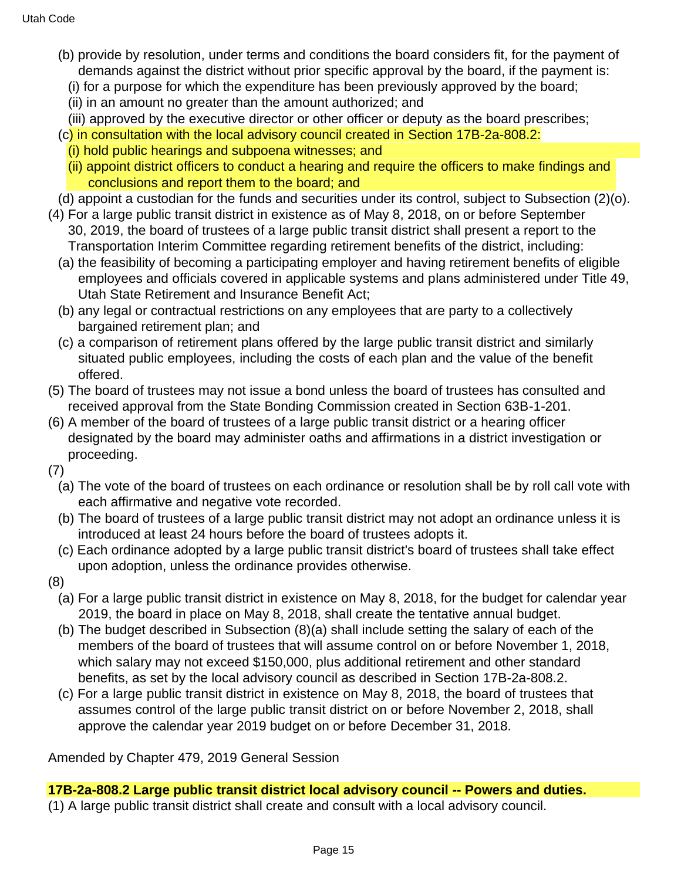- (b) provide by resolution, under terms and conditions the board considers fit, for the payment of demands against the district without prior specific approval by the board, if the payment is:
	- (i) for a purpose for which the expenditure has been previously approved by the board;
	- (ii) in an amount no greater than the amount authorized; and
	- (iii) approved by the executive director or other officer or deputy as the board prescribes;
- (c) in consultation with the local advisory council created in Section 17B-2a-808.2:
	- (i) hold public hearings and subpoena witnesses; and
	- (ii) appoint district officers to conduct a hearing and require the officers to make findings and conclusions and report them to the board; and

(d) appoint a custodian for the funds and securities under its control, subject to Subsection (2)(o).

- (4) For a large public transit district in existence as of May 8, 2018, on or before September 30, 2019, the board of trustees of a large public transit district shall present a report to the Transportation Interim Committee regarding retirement benefits of the district, including:
	- (a) the feasibility of becoming a participating employer and having retirement benefits of eligible employees and officials covered in applicable systems and plans administered under Title 49, Utah State Retirement and Insurance Benefit Act;
	- (b) any legal or contractual restrictions on any employees that are party to a collectively bargained retirement plan; and
	- (c) a comparison of retirement plans offered by the large public transit district and similarly situated public employees, including the costs of each plan and the value of the benefit offered.
- (5) The board of trustees may not issue a bond unless the board of trustees has consulted and received approval from the State Bonding Commission created in Section 63B-1-201.
- (6) A member of the board of trustees of a large public transit district or a hearing officer designated by the board may administer oaths and affirmations in a district investigation or proceeding.
- (7)
	- (a) The vote of the board of trustees on each ordinance or resolution shall be by roll call vote with each affirmative and negative vote recorded.
	- (b) The board of trustees of a large public transit district may not adopt an ordinance unless it is introduced at least 24 hours before the board of trustees adopts it.
	- (c) Each ordinance adopted by a large public transit district's board of trustees shall take effect upon adoption, unless the ordinance provides otherwise.
- (8)
	- (a) For a large public transit district in existence on May 8, 2018, for the budget for calendar year 2019, the board in place on May 8, 2018, shall create the tentative annual budget.
	- (b) The budget described in Subsection (8)(a) shall include setting the salary of each of the members of the board of trustees that will assume control on or before November 1, 2018, which salary may not exceed \$150,000, plus additional retirement and other standard benefits, as set by the local advisory council as described in Section 17B-2a-808.2.
	- (c) For a large public transit district in existence on May 8, 2018, the board of trustees that assumes control of the large public transit district on or before November 2, 2018, shall approve the calendar year 2019 budget on or before December 31, 2018.

Amended by Chapter 479, 2019 General Session

**17B-2a-808.2 Large public transit district local advisory council -- Powers and duties.** (1) A large public transit district shall create and consult with a local advisory council.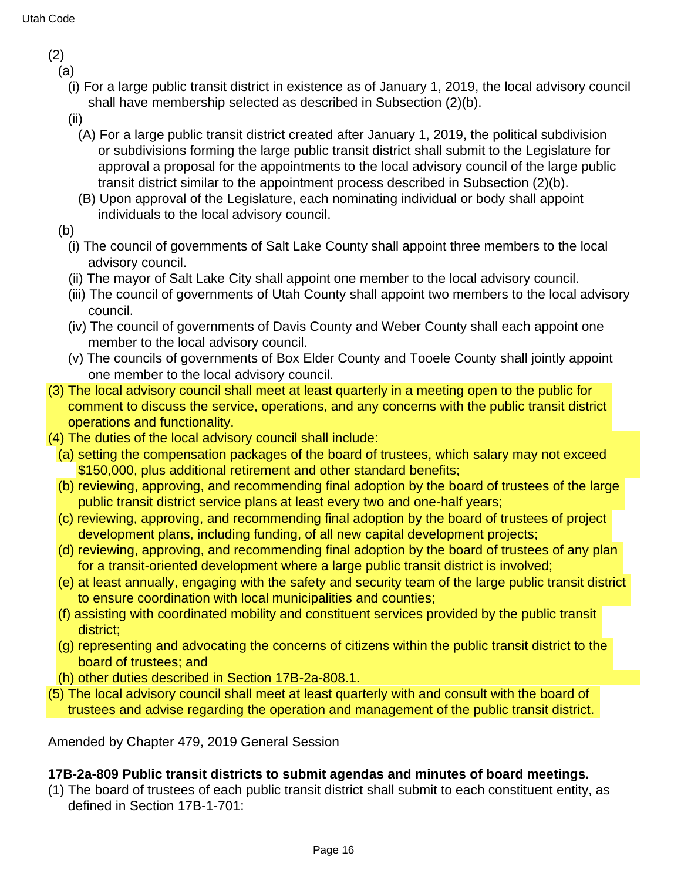(2)

(a)

- (i) For a large public transit district in existence as of January 1, 2019, the local advisory council shall have membership selected as described in Subsection (2)(b).
- (ii)
	- (A) For a large public transit district created after January 1, 2019, the political subdivision or subdivisions forming the large public transit district shall submit to the Legislature for approval a proposal for the appointments to the local advisory council of the large public transit district similar to the appointment process described in Subsection (2)(b).
	- (B) Upon approval of the Legislature, each nominating individual or body shall appoint individuals to the local advisory council.
- (b)
	- (i) The council of governments of Salt Lake County shall appoint three members to the local advisory council.
	- (ii) The mayor of Salt Lake City shall appoint one member to the local advisory council.
	- (iii) The council of governments of Utah County shall appoint two members to the local advisory council.
	- (iv) The council of governments of Davis County and Weber County shall each appoint one member to the local advisory council.
	- (v) The councils of governments of Box Elder County and Tooele County shall jointly appoint one member to the local advisory council.
- (3) The local advisory council shall meet at least quarterly in a meeting open to the public for comment to discuss the service, operations, and any concerns with the public transit district operations and functionality.
- (4) The duties of the local advisory council shall include:
	- (a) setting the compensation packages of the board of trustees, which salary may not exceed \$150,000, plus additional retirement and other standard benefits;
	- (b) reviewing, approving, and recommending final adoption by the board of trustees of the large public transit district service plans at least every two and one-half years;
	- (c) reviewing, approving, and recommending final adoption by the board of trustees of project development plans, including funding, of all new capital development projects;
	- (d) reviewing, approving, and recommending final adoption by the board of trustees of any plan for a transit-oriented development where a large public transit district is involved;
	- (e) at least annually, engaging with the safety and security team of the large public transit district to ensure coordination with local municipalities and counties;
	- (f) assisting with coordinated mobility and constituent services provided by the public transit district;
	- (g) representing and advocating the concerns of citizens within the public transit district to the board of trustees; and
- (h) other duties described in Section 17B-2a-808.1.
- (5) The local advisory council shall meet at least quarterly with and consult with the board of trustees and advise regarding the operation and management of the public transit district.

Amended by Chapter 479, 2019 General Session

## **17B-2a-809 Public transit districts to submit agendas and minutes of board meetings.**

(1) The board of trustees of each public transit district shall submit to each constituent entity, as defined in Section 17B-1-701: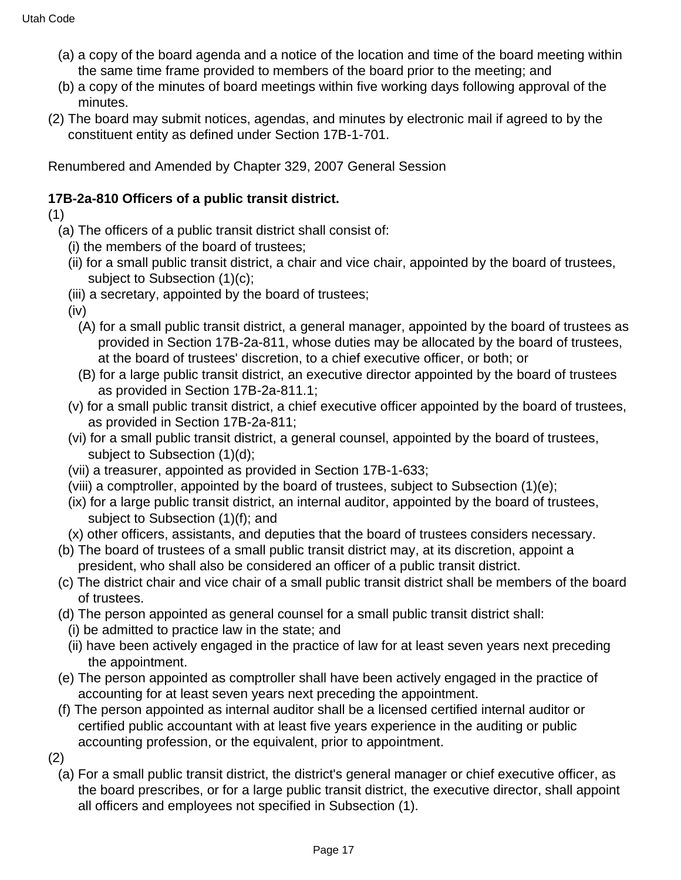- (a) a copy of the board agenda and a notice of the location and time of the board meeting within the same time frame provided to members of the board prior to the meeting; and
- (b) a copy of the minutes of board meetings within five working days following approval of the minutes.
- (2) The board may submit notices, agendas, and minutes by electronic mail if agreed to by the constituent entity as defined under Section 17B-1-701.

Renumbered and Amended by Chapter 329, 2007 General Session

# **17B-2a-810 Officers of a public transit district.**

(1)

- (a) The officers of a public transit district shall consist of:
	- (i) the members of the board of trustees;
	- (ii) for a small public transit district, a chair and vice chair, appointed by the board of trustees, subject to Subsection (1)(c);
	- (iii) a secretary, appointed by the board of trustees;

(iv)

- (A) for a small public transit district, a general manager, appointed by the board of trustees as provided in Section 17B-2a-811, whose duties may be allocated by the board of trustees, at the board of trustees' discretion, to a chief executive officer, or both; or
- (B) for a large public transit district, an executive director appointed by the board of trustees as provided in Section 17B-2a-811.1;
- (v) for a small public transit district, a chief executive officer appointed by the board of trustees, as provided in Section 17B-2a-811;
- (vi) for a small public transit district, a general counsel, appointed by the board of trustees, subject to Subsection (1)(d);
- (vii) a treasurer, appointed as provided in Section 17B-1-633;
- (viii) a comptroller, appointed by the board of trustees, subject to Subsection (1)(e);
- (ix) for a large public transit district, an internal auditor, appointed by the board of trustees, subject to Subsection (1)(f); and
- (x) other officers, assistants, and deputies that the board of trustees considers necessary.
- (b) The board of trustees of a small public transit district may, at its discretion, appoint a president, who shall also be considered an officer of a public transit district.
- (c) The district chair and vice chair of a small public transit district shall be members of the board of trustees.
- (d) The person appointed as general counsel for a small public transit district shall:
	- (i) be admitted to practice law in the state; and
	- (ii) have been actively engaged in the practice of law for at least seven years next preceding the appointment.
- (e) The person appointed as comptroller shall have been actively engaged in the practice of accounting for at least seven years next preceding the appointment.
- (f) The person appointed as internal auditor shall be a licensed certified internal auditor or certified public accountant with at least five years experience in the auditing or public accounting profession, or the equivalent, prior to appointment.

(2)

(a) For a small public transit district, the district's general manager or chief executive officer, as the board prescribes, or for a large public transit district, the executive director, shall appoint all officers and employees not specified in Subsection (1).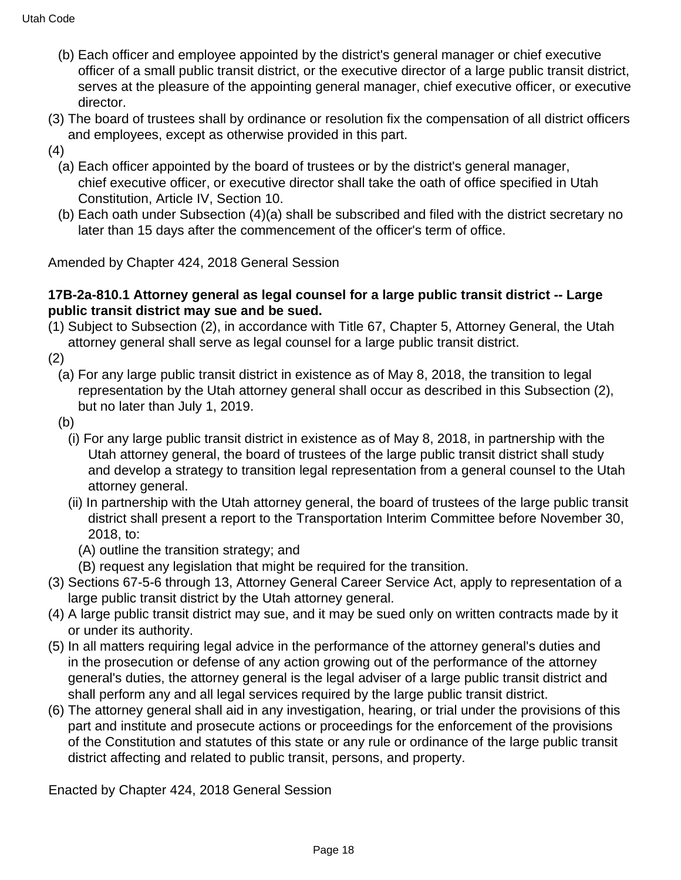- (b) Each officer and employee appointed by the district's general manager or chief executive officer of a small public transit district, or the executive director of a large public transit district, serves at the pleasure of the appointing general manager, chief executive officer, or executive director.
- (3) The board of trustees shall by ordinance or resolution fix the compensation of all district officers and employees, except as otherwise provided in this part.
- (4)
	- (a) Each officer appointed by the board of trustees or by the district's general manager, chief executive officer, or executive director shall take the oath of office specified in Utah Constitution, Article IV, Section 10.
	- (b) Each oath under Subsection (4)(a) shall be subscribed and filed with the district secretary no later than 15 days after the commencement of the officer's term of office.

Amended by Chapter 424, 2018 General Session

#### **17B-2a-810.1 Attorney general as legal counsel for a large public transit district -- Large public transit district may sue and be sued.**

(1) Subject to Subsection (2), in accordance with Title 67, Chapter 5, Attorney General, the Utah attorney general shall serve as legal counsel for a large public transit district.

(2)

- (a) For any large public transit district in existence as of May 8, 2018, the transition to legal representation by the Utah attorney general shall occur as described in this Subsection (2), but no later than July 1, 2019.
- (b)
	- (i) For any large public transit district in existence as of May 8, 2018, in partnership with the Utah attorney general, the board of trustees of the large public transit district shall study and develop a strategy to transition legal representation from a general counsel to the Utah attorney general.
	- (ii) In partnership with the Utah attorney general, the board of trustees of the large public transit district shall present a report to the Transportation Interim Committee before November 30, 2018, to:
		- (A) outline the transition strategy; and
	- (B) request any legislation that might be required for the transition.
- (3) Sections 67-5-6 through 13, Attorney General Career Service Act, apply to representation of a large public transit district by the Utah attorney general.
- (4) A large public transit district may sue, and it may be sued only on written contracts made by it or under its authority.
- (5) In all matters requiring legal advice in the performance of the attorney general's duties and in the prosecution or defense of any action growing out of the performance of the attorney general's duties, the attorney general is the legal adviser of a large public transit district and shall perform any and all legal services required by the large public transit district.
- (6) The attorney general shall aid in any investigation, hearing, or trial under the provisions of this part and institute and prosecute actions or proceedings for the enforcement of the provisions of the Constitution and statutes of this state or any rule or ordinance of the large public transit district affecting and related to public transit, persons, and property.

Enacted by Chapter 424, 2018 General Session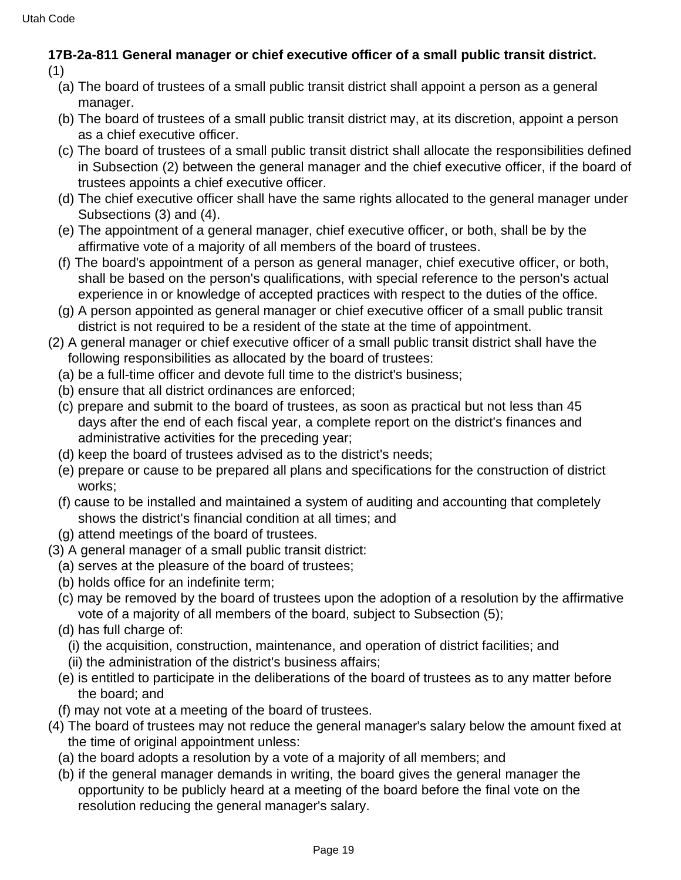## **17B-2a-811 General manager or chief executive officer of a small public transit district.** (1)

- (a) The board of trustees of a small public transit district shall appoint a person as a general manager.
- (b) The board of trustees of a small public transit district may, at its discretion, appoint a person as a chief executive officer.
- (c) The board of trustees of a small public transit district shall allocate the responsibilities defined in Subsection (2) between the general manager and the chief executive officer, if the board of trustees appoints a chief executive officer.
- (d) The chief executive officer shall have the same rights allocated to the general manager under Subsections (3) and (4).
- (e) The appointment of a general manager, chief executive officer, or both, shall be by the affirmative vote of a majority of all members of the board of trustees.
- (f) The board's appointment of a person as general manager, chief executive officer, or both, shall be based on the person's qualifications, with special reference to the person's actual experience in or knowledge of accepted practices with respect to the duties of the office.
- (g) A person appointed as general manager or chief executive officer of a small public transit district is not required to be a resident of the state at the time of appointment.
- (2) A general manager or chief executive officer of a small public transit district shall have the following responsibilities as allocated by the board of trustees:
	- (a) be a full-time officer and devote full time to the district's business;
	- (b) ensure that all district ordinances are enforced;
	- (c) prepare and submit to the board of trustees, as soon as practical but not less than 45 days after the end of each fiscal year, a complete report on the district's finances and administrative activities for the preceding year;
	- (d) keep the board of trustees advised as to the district's needs;
	- (e) prepare or cause to be prepared all plans and specifications for the construction of district works;
	- (f) cause to be installed and maintained a system of auditing and accounting that completely shows the district's financial condition at all times; and
	- (g) attend meetings of the board of trustees.
- (3) A general manager of a small public transit district:
	- (a) serves at the pleasure of the board of trustees;
	- (b) holds office for an indefinite term;
	- (c) may be removed by the board of trustees upon the adoption of a resolution by the affirmative vote of a majority of all members of the board, subject to Subsection (5);
	- (d) has full charge of:
		- (i) the acquisition, construction, maintenance, and operation of district facilities; and
	- (ii) the administration of the district's business affairs;
	- (e) is entitled to participate in the deliberations of the board of trustees as to any matter before the board; and
	- (f) may not vote at a meeting of the board of trustees.
- (4) The board of trustees may not reduce the general manager's salary below the amount fixed at the time of original appointment unless:
	- (a) the board adopts a resolution by a vote of a majority of all members; and
	- (b) if the general manager demands in writing, the board gives the general manager the opportunity to be publicly heard at a meeting of the board before the final vote on the resolution reducing the general manager's salary.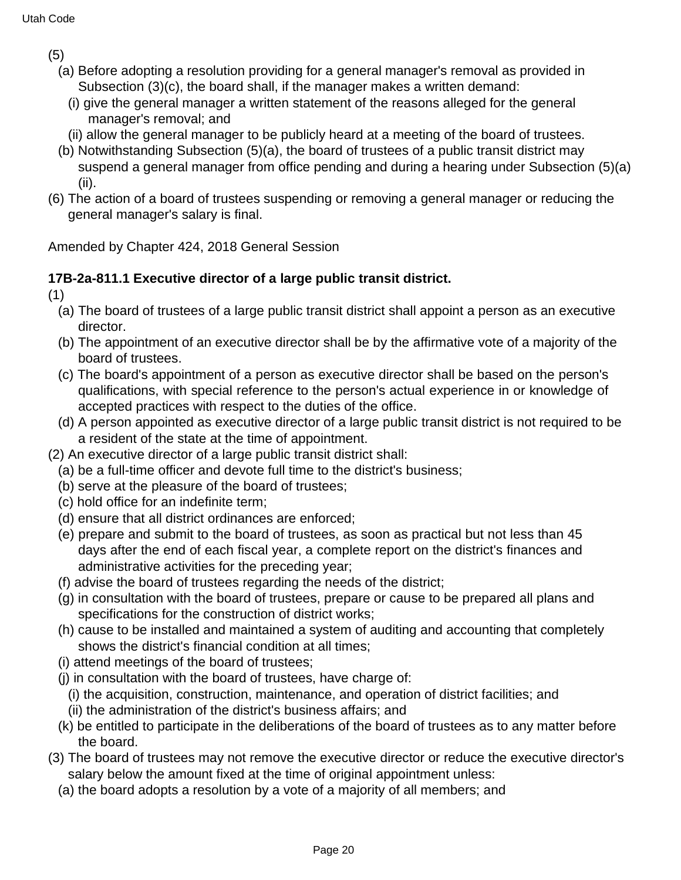(5)

- (a) Before adopting a resolution providing for a general manager's removal as provided in Subsection (3)(c), the board shall, if the manager makes a written demand:
	- (i) give the general manager a written statement of the reasons alleged for the general manager's removal; and
	- (ii) allow the general manager to be publicly heard at a meeting of the board of trustees.
- (b) Notwithstanding Subsection (5)(a), the board of trustees of a public transit district may suspend a general manager from office pending and during a hearing under Subsection (5)(a) (ii).
- (6) The action of a board of trustees suspending or removing a general manager or reducing the general manager's salary is final.

Amended by Chapter 424, 2018 General Session

# **17B-2a-811.1 Executive director of a large public transit district.**

(1)

- (a) The board of trustees of a large public transit district shall appoint a person as an executive director.
- (b) The appointment of an executive director shall be by the affirmative vote of a majority of the board of trustees.
- (c) The board's appointment of a person as executive director shall be based on the person's qualifications, with special reference to the person's actual experience in or knowledge of accepted practices with respect to the duties of the office.
- (d) A person appointed as executive director of a large public transit district is not required to be a resident of the state at the time of appointment.
- (2) An executive director of a large public transit district shall:
- (a) be a full-time officer and devote full time to the district's business;
- (b) serve at the pleasure of the board of trustees;
- (c) hold office for an indefinite term;
- (d) ensure that all district ordinances are enforced;
- (e) prepare and submit to the board of trustees, as soon as practical but not less than 45 days after the end of each fiscal year, a complete report on the district's finances and administrative activities for the preceding year;
- (f) advise the board of trustees regarding the needs of the district;
- (g) in consultation with the board of trustees, prepare or cause to be prepared all plans and specifications for the construction of district works;
- (h) cause to be installed and maintained a system of auditing and accounting that completely shows the district's financial condition at all times;
- (i) attend meetings of the board of trustees;
- (j) in consultation with the board of trustees, have charge of:
	- (i) the acquisition, construction, maintenance, and operation of district facilities; and
	- (ii) the administration of the district's business affairs; and
- (k) be entitled to participate in the deliberations of the board of trustees as to any matter before the board.
- (3) The board of trustees may not remove the executive director or reduce the executive director's salary below the amount fixed at the time of original appointment unless:
	- (a) the board adopts a resolution by a vote of a majority of all members; and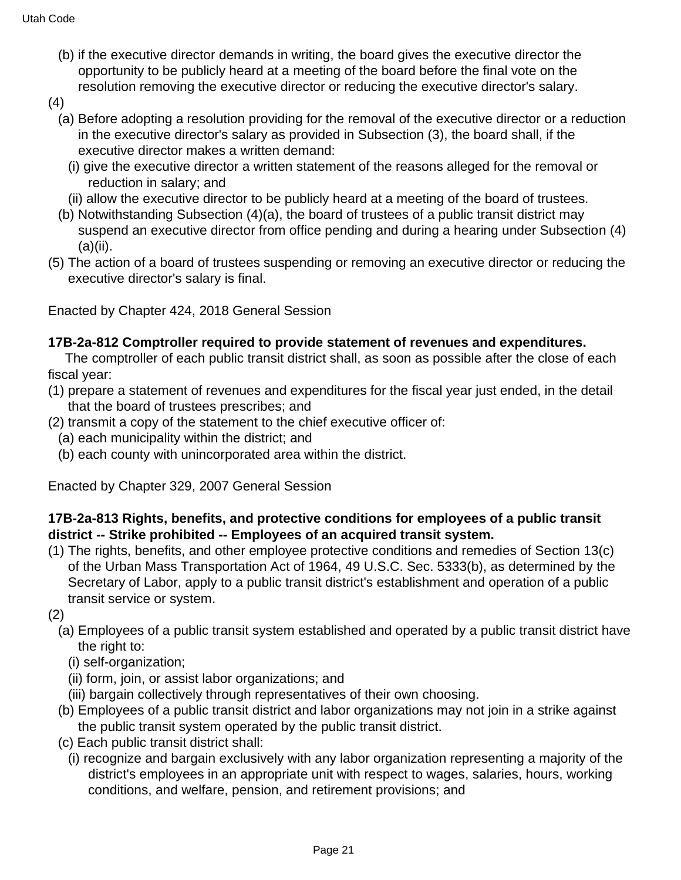- (b) if the executive director demands in writing, the board gives the executive director the opportunity to be publicly heard at a meeting of the board before the final vote on the resolution removing the executive director or reducing the executive director's salary.
- (4)
	- (a) Before adopting a resolution providing for the removal of the executive director or a reduction in the executive director's salary as provided in Subsection (3), the board shall, if the executive director makes a written demand:
		- (i) give the executive director a written statement of the reasons alleged for the removal or reduction in salary; and
	- (ii) allow the executive director to be publicly heard at a meeting of the board of trustees.
	- (b) Notwithstanding Subsection (4)(a), the board of trustees of a public transit district may suspend an executive director from office pending and during a hearing under Subsection (4) (a)(ii).
- (5) The action of a board of trustees suspending or removing an executive director or reducing the executive director's salary is final.

Enacted by Chapter 424, 2018 General Session

#### **17B-2a-812 Comptroller required to provide statement of revenues and expenditures.**

The comptroller of each public transit district shall, as soon as possible after the close of each fiscal year:

- (1) prepare a statement of revenues and expenditures for the fiscal year just ended, in the detail that the board of trustees prescribes; and
- (2) transmit a copy of the statement to the chief executive officer of:
	- (a) each municipality within the district; and
	- (b) each county with unincorporated area within the district.

Enacted by Chapter 329, 2007 General Session

### **17B-2a-813 Rights, benefits, and protective conditions for employees of a public transit district -- Strike prohibited -- Employees of an acquired transit system.**

- (1) The rights, benefits, and other employee protective conditions and remedies of Section 13(c) of the Urban Mass Transportation Act of 1964, 49 U.S.C. Sec. 5333(b), as determined by the Secretary of Labor, apply to a public transit district's establishment and operation of a public transit service or system.
- (2)
	- (a) Employees of a public transit system established and operated by a public transit district have the right to:
		- (i) self-organization;
		- (ii) form, join, or assist labor organizations; and
	- (iii) bargain collectively through representatives of their own choosing.
	- (b) Employees of a public transit district and labor organizations may not join in a strike against the public transit system operated by the public transit district.
	- (c) Each public transit district shall:
	- (i) recognize and bargain exclusively with any labor organization representing a majority of the district's employees in an appropriate unit with respect to wages, salaries, hours, working conditions, and welfare, pension, and retirement provisions; and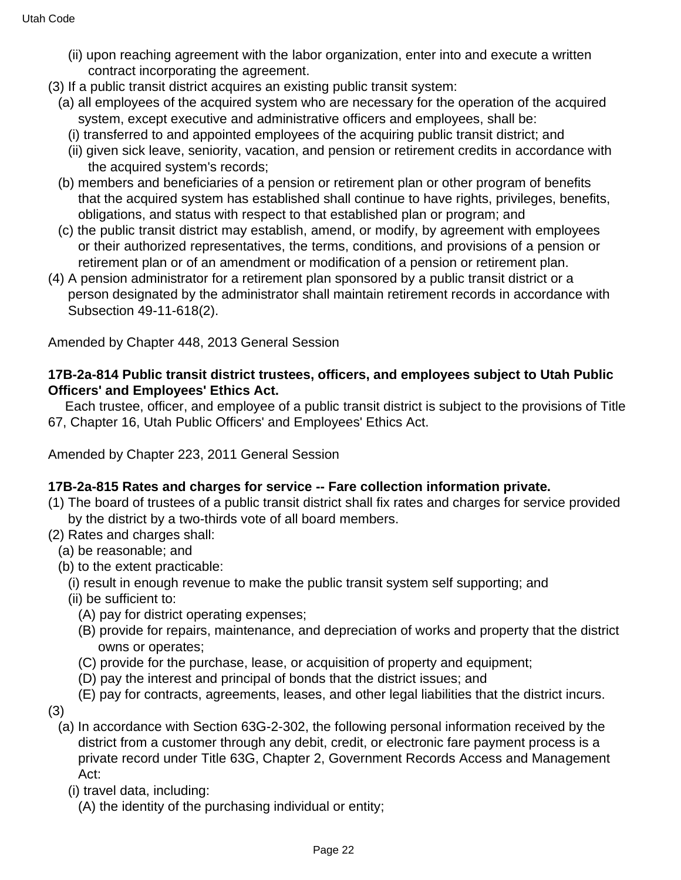- (ii) upon reaching agreement with the labor organization, enter into and execute a written contract incorporating the agreement.
- (3) If a public transit district acquires an existing public transit system:
	- (a) all employees of the acquired system who are necessary for the operation of the acquired system, except executive and administrative officers and employees, shall be:
		- (i) transferred to and appointed employees of the acquiring public transit district; and
		- (ii) given sick leave, seniority, vacation, and pension or retirement credits in accordance with the acquired system's records;
	- (b) members and beneficiaries of a pension or retirement plan or other program of benefits that the acquired system has established shall continue to have rights, privileges, benefits, obligations, and status with respect to that established plan or program; and
	- (c) the public transit district may establish, amend, or modify, by agreement with employees or their authorized representatives, the terms, conditions, and provisions of a pension or retirement plan or of an amendment or modification of a pension or retirement plan.
- (4) A pension administrator for a retirement plan sponsored by a public transit district or a person designated by the administrator shall maintain retirement records in accordance with Subsection 49-11-618(2).

Amended by Chapter 448, 2013 General Session

#### **17B-2a-814 Public transit district trustees, officers, and employees subject to Utah Public Officers' and Employees' Ethics Act.**

Each trustee, officer, and employee of a public transit district is subject to the provisions of Title 67, Chapter 16, Utah Public Officers' and Employees' Ethics Act.

Amended by Chapter 223, 2011 General Session

#### **17B-2a-815 Rates and charges for service -- Fare collection information private.**

- (1) The board of trustees of a public transit district shall fix rates and charges for service provided by the district by a two-thirds vote of all board members.
- (2) Rates and charges shall:
	- (a) be reasonable; and
	- (b) to the extent practicable:
		- (i) result in enough revenue to make the public transit system self supporting; and
		- (ii) be sufficient to:
			- (A) pay for district operating expenses;
			- (B) provide for repairs, maintenance, and depreciation of works and property that the district owns or operates;
			- (C) provide for the purchase, lease, or acquisition of property and equipment;
			- (D) pay the interest and principal of bonds that the district issues; and
			- (E) pay for contracts, agreements, leases, and other legal liabilities that the district incurs.
- (3)
	- (a) In accordance with Section 63G-2-302, the following personal information received by the district from a customer through any debit, credit, or electronic fare payment process is a private record under Title 63G, Chapter 2, Government Records Access and Management Act:
		- (i) travel data, including:
			- (A) the identity of the purchasing individual or entity;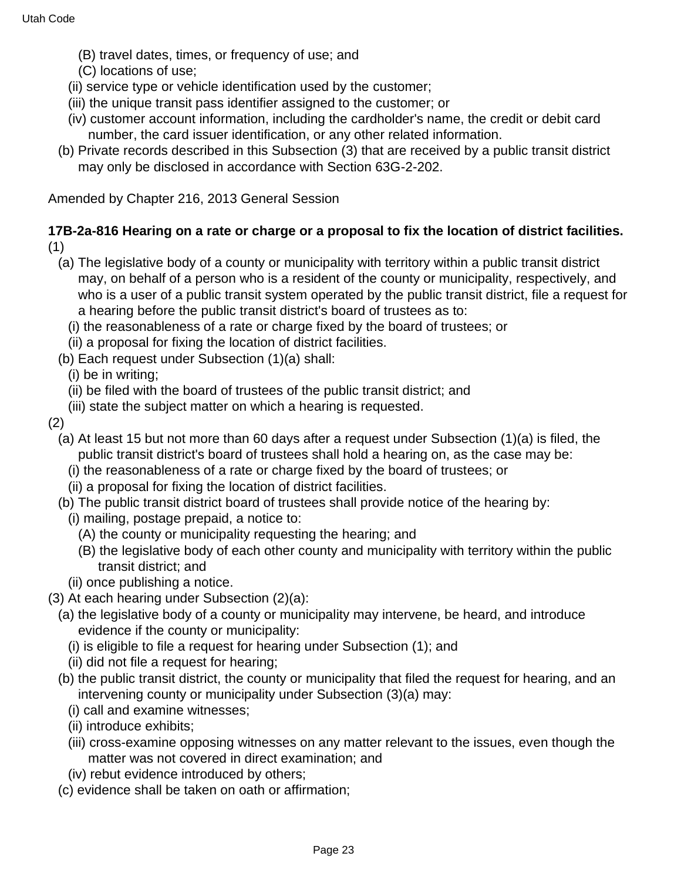- (B) travel dates, times, or frequency of use; and
- (C) locations of use;
- (ii) service type or vehicle identification used by the customer;
- (iii) the unique transit pass identifier assigned to the customer; or
- (iv) customer account information, including the cardholder's name, the credit or debit card number, the card issuer identification, or any other related information.
- (b) Private records described in this Subsection (3) that are received by a public transit district may only be disclosed in accordance with Section 63G-2-202.

Amended by Chapter 216, 2013 General Session

**17B-2a-816 Hearing on a rate or charge or a proposal to fix the location of district facilities.** (1)

- (a) The legislative body of a county or municipality with territory within a public transit district may, on behalf of a person who is a resident of the county or municipality, respectively, and who is a user of a public transit system operated by the public transit district, file a request for a hearing before the public transit district's board of trustees as to:
	- (i) the reasonableness of a rate or charge fixed by the board of trustees; or
	- (ii) a proposal for fixing the location of district facilities.
- (b) Each request under Subsection (1)(a) shall:

(i) be in writing;

- (ii) be filed with the board of trustees of the public transit district; and
- (iii) state the subject matter on which a hearing is requested.
- (2)
	- (a) At least 15 but not more than 60 days after a request under Subsection (1)(a) is filed, the public transit district's board of trustees shall hold a hearing on, as the case may be:
		- (i) the reasonableness of a rate or charge fixed by the board of trustees; or
		- (ii) a proposal for fixing the location of district facilities.
	- (b) The public transit district board of trustees shall provide notice of the hearing by:
		- (i) mailing, postage prepaid, a notice to:
			- (A) the county or municipality requesting the hearing; and
			- (B) the legislative body of each other county and municipality with territory within the public transit district; and
		- (ii) once publishing a notice.
- (3) At each hearing under Subsection (2)(a):
	- (a) the legislative body of a county or municipality may intervene, be heard, and introduce evidence if the county or municipality:
		- (i) is eligible to file a request for hearing under Subsection (1); and
		- (ii) did not file a request for hearing;
	- (b) the public transit district, the county or municipality that filed the request for hearing, and an intervening county or municipality under Subsection (3)(a) may:
		- (i) call and examine witnesses;
		- (ii) introduce exhibits;
		- (iii) cross-examine opposing witnesses on any matter relevant to the issues, even though the matter was not covered in direct examination; and
		- (iv) rebut evidence introduced by others;
	- (c) evidence shall be taken on oath or affirmation;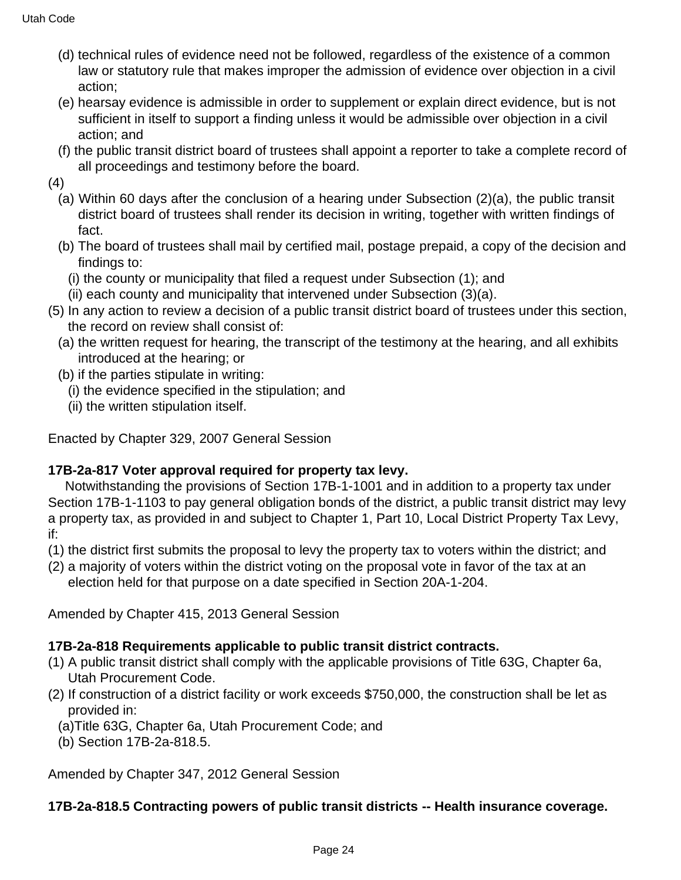- (d) technical rules of evidence need not be followed, regardless of the existence of a common law or statutory rule that makes improper the admission of evidence over objection in a civil action;
- (e) hearsay evidence is admissible in order to supplement or explain direct evidence, but is not sufficient in itself to support a finding unless it would be admissible over objection in a civil action; and
- (f) the public transit district board of trustees shall appoint a reporter to take a complete record of all proceedings and testimony before the board.

(4)

- (a) Within 60 days after the conclusion of a hearing under Subsection (2)(a), the public transit district board of trustees shall render its decision in writing, together with written findings of fact.
- (b) The board of trustees shall mail by certified mail, postage prepaid, a copy of the decision and findings to:
	- (i) the county or municipality that filed a request under Subsection (1); and
- (ii) each county and municipality that intervened under Subsection (3)(a).
- (5) In any action to review a decision of a public transit district board of trustees under this section, the record on review shall consist of:
	- (a) the written request for hearing, the transcript of the testimony at the hearing, and all exhibits introduced at the hearing; or
	- (b) if the parties stipulate in writing:
		- (i) the evidence specified in the stipulation; and
		- (ii) the written stipulation itself.

Enacted by Chapter 329, 2007 General Session

### **17B-2a-817 Voter approval required for property tax levy.**

Notwithstanding the provisions of Section 17B-1-1001 and in addition to a property tax under Section 17B-1-1103 to pay general obligation bonds of the district, a public transit district may levy a property tax, as provided in and subject to Chapter 1, Part 10, Local District Property Tax Levy, if:

- (1) the district first submits the proposal to levy the property tax to voters within the district; and
- (2) a majority of voters within the district voting on the proposal vote in favor of the tax at an election held for that purpose on a date specified in Section 20A-1-204.

Amended by Chapter 415, 2013 General Session

# **17B-2a-818 Requirements applicable to public transit district contracts.**

- (1) A public transit district shall comply with the applicable provisions of Title 63G, Chapter 6a, Utah Procurement Code.
- (2) If construction of a district facility or work exceeds \$750,000, the construction shall be let as provided in:
	- (a)Title 63G, Chapter 6a, Utah Procurement Code; and
	- (b) Section 17B-2a-818.5.

Amended by Chapter 347, 2012 General Session

# **17B-2a-818.5 Contracting powers of public transit districts -- Health insurance coverage.**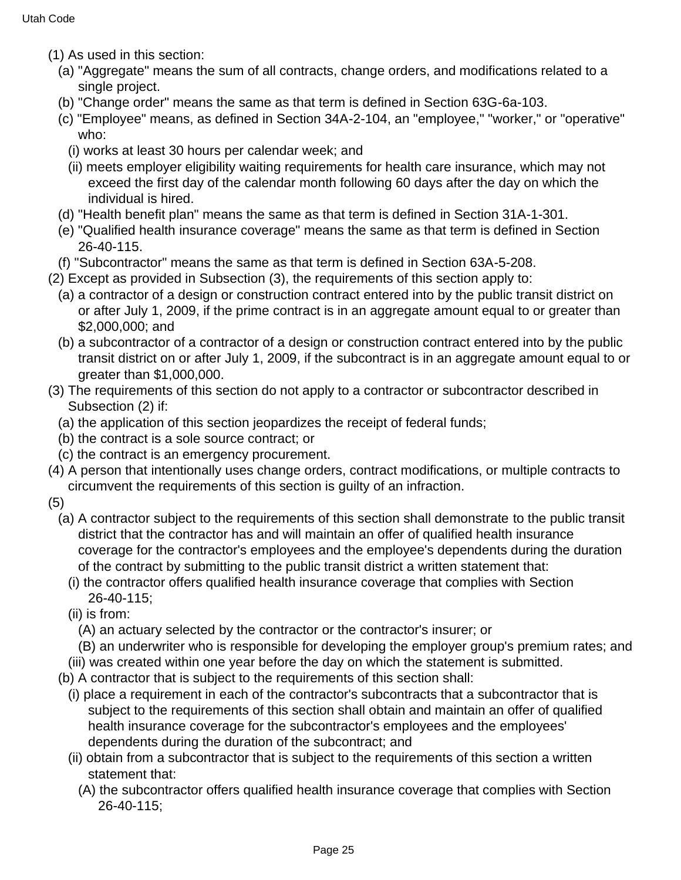- (1) As used in this section:
	- (a) "Aggregate" means the sum of all contracts, change orders, and modifications related to a single project.
	- (b) "Change order" means the same as that term is defined in Section 63G-6a-103.
	- (c) "Employee" means, as defined in Section 34A-2-104, an "employee," "worker," or "operative" who:
		- (i) works at least 30 hours per calendar week; and
		- (ii) meets employer eligibility waiting requirements for health care insurance, which may not exceed the first day of the calendar month following 60 days after the day on which the individual is hired.
	- (d) "Health benefit plan" means the same as that term is defined in Section 31A-1-301.
	- (e) "Qualified health insurance coverage" means the same as that term is defined in Section 26-40-115.
- (f) "Subcontractor" means the same as that term is defined in Section 63A-5-208.
- (2) Except as provided in Subsection (3), the requirements of this section apply to:
	- (a) a contractor of a design or construction contract entered into by the public transit district on or after July 1, 2009, if the prime contract is in an aggregate amount equal to or greater than \$2,000,000; and
	- (b) a subcontractor of a contractor of a design or construction contract entered into by the public transit district on or after July 1, 2009, if the subcontract is in an aggregate amount equal to or greater than \$1,000,000.
- (3) The requirements of this section do not apply to a contractor or subcontractor described in Subsection (2) if:
	- (a) the application of this section jeopardizes the receipt of federal funds;
	- (b) the contract is a sole source contract; or
	- (c) the contract is an emergency procurement.
- (4) A person that intentionally uses change orders, contract modifications, or multiple contracts to circumvent the requirements of this section is guilty of an infraction.
- (5)
	- (a) A contractor subject to the requirements of this section shall demonstrate to the public transit district that the contractor has and will maintain an offer of qualified health insurance coverage for the contractor's employees and the employee's dependents during the duration of the contract by submitting to the public transit district a written statement that:
		- (i) the contractor offers qualified health insurance coverage that complies with Section 26-40-115;
		- (ii) is from:
			- (A) an actuary selected by the contractor or the contractor's insurer; or
			- (B) an underwriter who is responsible for developing the employer group's premium rates; and
		- (iii) was created within one year before the day on which the statement is submitted.
	- (b) A contractor that is subject to the requirements of this section shall:
		- (i) place a requirement in each of the contractor's subcontracts that a subcontractor that is subject to the requirements of this section shall obtain and maintain an offer of qualified health insurance coverage for the subcontractor's employees and the employees' dependents during the duration of the subcontract; and
		- (ii) obtain from a subcontractor that is subject to the requirements of this section a written statement that:
			- (A) the subcontractor offers qualified health insurance coverage that complies with Section 26-40-115;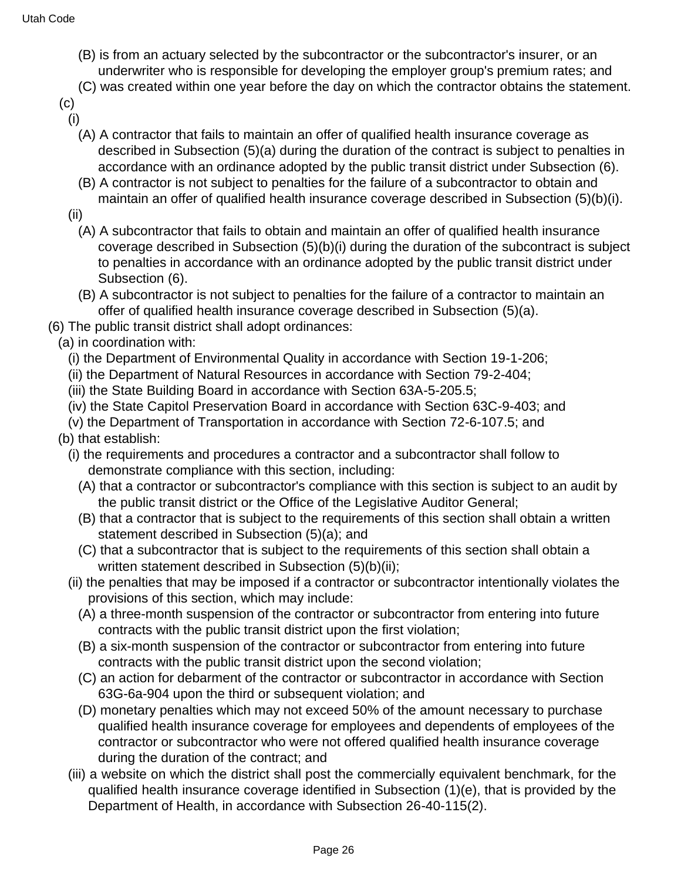- (B) is from an actuary selected by the subcontractor or the subcontractor's insurer, or an underwriter who is responsible for developing the employer group's premium rates; and
- (C) was created within one year before the day on which the contractor obtains the statement.
- (c)
- (i)
	- (A) A contractor that fails to maintain an offer of qualified health insurance coverage as described in Subsection (5)(a) during the duration of the contract is subject to penalties in accordance with an ordinance adopted by the public transit district under Subsection (6).
	- (B) A contractor is not subject to penalties for the failure of a subcontractor to obtain and maintain an offer of qualified health insurance coverage described in Subsection (5)(b)(i).
- (ii)
	- (A) A subcontractor that fails to obtain and maintain an offer of qualified health insurance coverage described in Subsection (5)(b)(i) during the duration of the subcontract is subject to penalties in accordance with an ordinance adopted by the public transit district under Subsection (6).
	- (B) A subcontractor is not subject to penalties for the failure of a contractor to maintain an offer of qualified health insurance coverage described in Subsection (5)(a).
- (6) The public transit district shall adopt ordinances:
- (a) in coordination with:
	- (i) the Department of Environmental Quality in accordance with Section 19-1-206;
	- (ii) the Department of Natural Resources in accordance with Section 79-2-404;
	- (iii) the State Building Board in accordance with Section 63A-5-205.5;
	- (iv) the State Capitol Preservation Board in accordance with Section 63C-9-403; and
	- (v) the Department of Transportation in accordance with Section 72-6-107.5; and
- (b) that establish:
	- (i) the requirements and procedures a contractor and a subcontractor shall follow to demonstrate compliance with this section, including:
		- (A) that a contractor or subcontractor's compliance with this section is subject to an audit by the public transit district or the Office of the Legislative Auditor General;
		- (B) that a contractor that is subject to the requirements of this section shall obtain a written statement described in Subsection (5)(a); and
		- (C) that a subcontractor that is subject to the requirements of this section shall obtain a written statement described in Subsection (5)(b)(ii);
	- (ii) the penalties that may be imposed if a contractor or subcontractor intentionally violates the provisions of this section, which may include:
		- (A) a three-month suspension of the contractor or subcontractor from entering into future contracts with the public transit district upon the first violation;
		- (B) a six-month suspension of the contractor or subcontractor from entering into future contracts with the public transit district upon the second violation;
		- (C) an action for debarment of the contractor or subcontractor in accordance with Section 63G-6a-904 upon the third or subsequent violation; and
		- (D) monetary penalties which may not exceed 50% of the amount necessary to purchase qualified health insurance coverage for employees and dependents of employees of the contractor or subcontractor who were not offered qualified health insurance coverage during the duration of the contract; and
	- (iii) a website on which the district shall post the commercially equivalent benchmark, for the qualified health insurance coverage identified in Subsection (1)(e), that is provided by the Department of Health, in accordance with Subsection 26-40-115(2).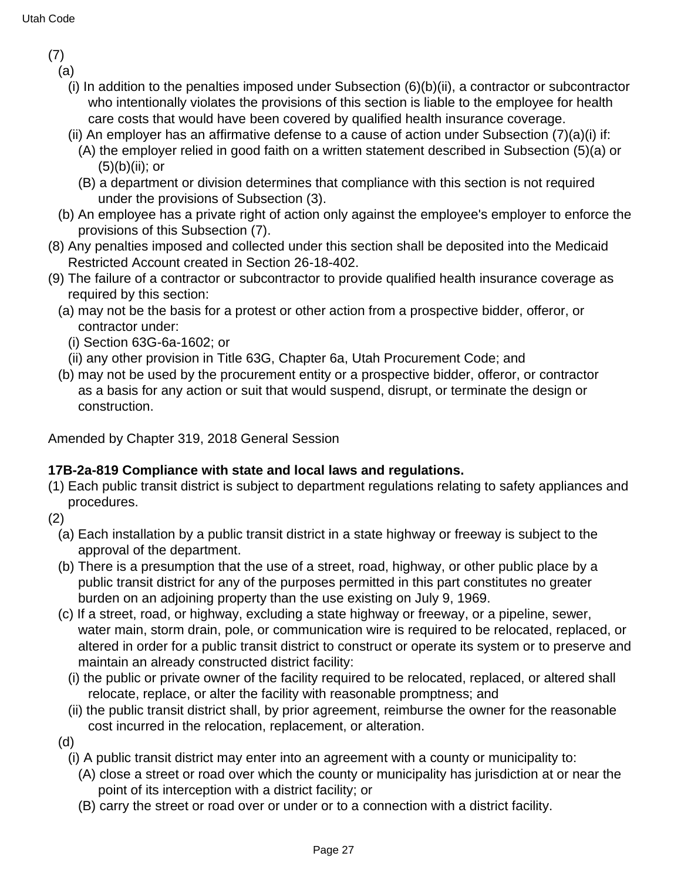(7)

(a)

- (i) In addition to the penalties imposed under Subsection (6)(b)(ii), a contractor or subcontractor who intentionally violates the provisions of this section is liable to the employee for health care costs that would have been covered by qualified health insurance coverage.
- (ii) An employer has an affirmative defense to a cause of action under Subsection  $(7)(a)(i)$  if:
	- (A) the employer relied in good faith on a written statement described in Subsection (5)(a) or  $(5)(b)(ii)$ ; or
	- (B) a department or division determines that compliance with this section is not required under the provisions of Subsection (3).
- (b) An employee has a private right of action only against the employee's employer to enforce the provisions of this Subsection (7).
- (8) Any penalties imposed and collected under this section shall be deposited into the Medicaid Restricted Account created in Section 26-18-402.
- (9) The failure of a contractor or subcontractor to provide qualified health insurance coverage as required by this section:
	- (a) may not be the basis for a protest or other action from a prospective bidder, offeror, or contractor under:
		- (i) Section 63G-6a-1602; or
		- (ii) any other provision in Title 63G, Chapter 6a, Utah Procurement Code; and
	- (b) may not be used by the procurement entity or a prospective bidder, offeror, or contractor as a basis for any action or suit that would suspend, disrupt, or terminate the design or construction.

Amended by Chapter 319, 2018 General Session

## **17B-2a-819 Compliance with state and local laws and regulations.**

- (1) Each public transit district is subject to department regulations relating to safety appliances and procedures.
- (2)
	- (a) Each installation by a public transit district in a state highway or freeway is subject to the approval of the department.
	- (b) There is a presumption that the use of a street, road, highway, or other public place by a public transit district for any of the purposes permitted in this part constitutes no greater burden on an adjoining property than the use existing on July 9, 1969.
	- (c) If a street, road, or highway, excluding a state highway or freeway, or a pipeline, sewer, water main, storm drain, pole, or communication wire is required to be relocated, replaced, or altered in order for a public transit district to construct or operate its system or to preserve and maintain an already constructed district facility:
		- (i) the public or private owner of the facility required to be relocated, replaced, or altered shall relocate, replace, or alter the facility with reasonable promptness; and
		- (ii) the public transit district shall, by prior agreement, reimburse the owner for the reasonable cost incurred in the relocation, replacement, or alteration.
	- (d)

(i) A public transit district may enter into an agreement with a county or municipality to:

- (A) close a street or road over which the county or municipality has jurisdiction at or near the point of its interception with a district facility; or
- (B) carry the street or road over or under or to a connection with a district facility.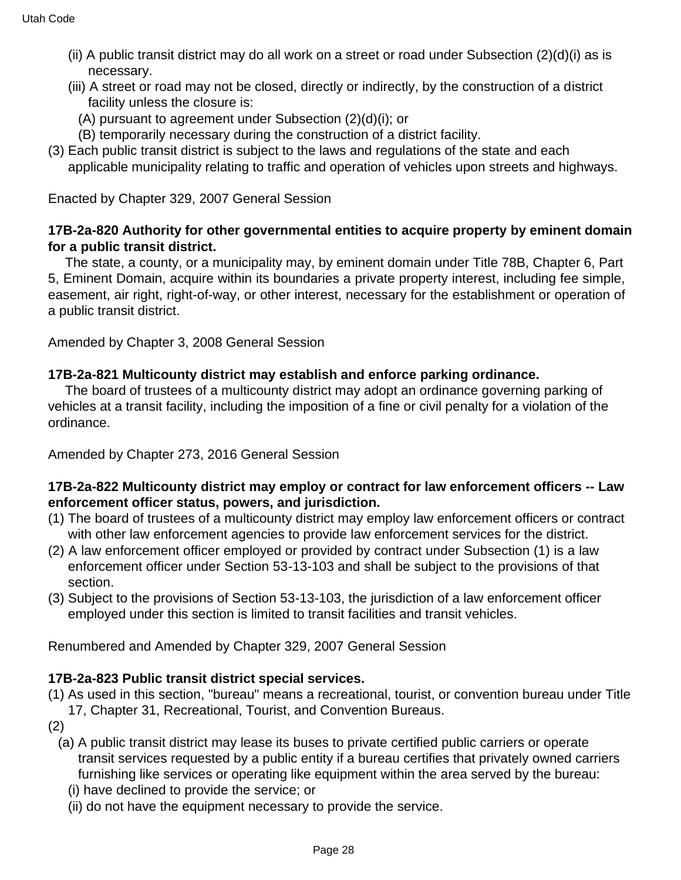- (ii) A public transit district may do all work on a street or road under Subsection (2)(d)(i) as is necessary.
- (iii) A street or road may not be closed, directly or indirectly, by the construction of a district facility unless the closure is:
	- (A) pursuant to agreement under Subsection (2)(d)(i); or
	- (B) temporarily necessary during the construction of a district facility.
- (3) Each public transit district is subject to the laws and regulations of the state and each applicable municipality relating to traffic and operation of vehicles upon streets and highways.

Enacted by Chapter 329, 2007 General Session

### **17B-2a-820 Authority for other governmental entities to acquire property by eminent domain for a public transit district.**

The state, a county, or a municipality may, by eminent domain under Title 78B, Chapter 6, Part 5, Eminent Domain, acquire within its boundaries a private property interest, including fee simple, easement, air right, right-of-way, or other interest, necessary for the establishment or operation of a public transit district.

Amended by Chapter 3, 2008 General Session

### **17B-2a-821 Multicounty district may establish and enforce parking ordinance.**

The board of trustees of a multicounty district may adopt an ordinance governing parking of vehicles at a transit facility, including the imposition of a fine or civil penalty for a violation of the ordinance.

Amended by Chapter 273, 2016 General Session

### **17B-2a-822 Multicounty district may employ or contract for law enforcement officers -- Law enforcement officer status, powers, and jurisdiction.**

- (1) The board of trustees of a multicounty district may employ law enforcement officers or contract with other law enforcement agencies to provide law enforcement services for the district.
- (2) A law enforcement officer employed or provided by contract under Subsection (1) is a law enforcement officer under Section 53-13-103 and shall be subject to the provisions of that section.
- (3) Subject to the provisions of Section 53-13-103, the jurisdiction of a law enforcement officer employed under this section is limited to transit facilities and transit vehicles.

Renumbered and Amended by Chapter 329, 2007 General Session

### **17B-2a-823 Public transit district special services.**

- (1) As used in this section, "bureau" means a recreational, tourist, or convention bureau under Title 17, Chapter 31, Recreational, Tourist, and Convention Bureaus.
- (2)
	- (a) A public transit district may lease its buses to private certified public carriers or operate transit services requested by a public entity if a bureau certifies that privately owned carriers furnishing like services or operating like equipment within the area served by the bureau:
		- (i) have declined to provide the service; or
		- (ii) do not have the equipment necessary to provide the service.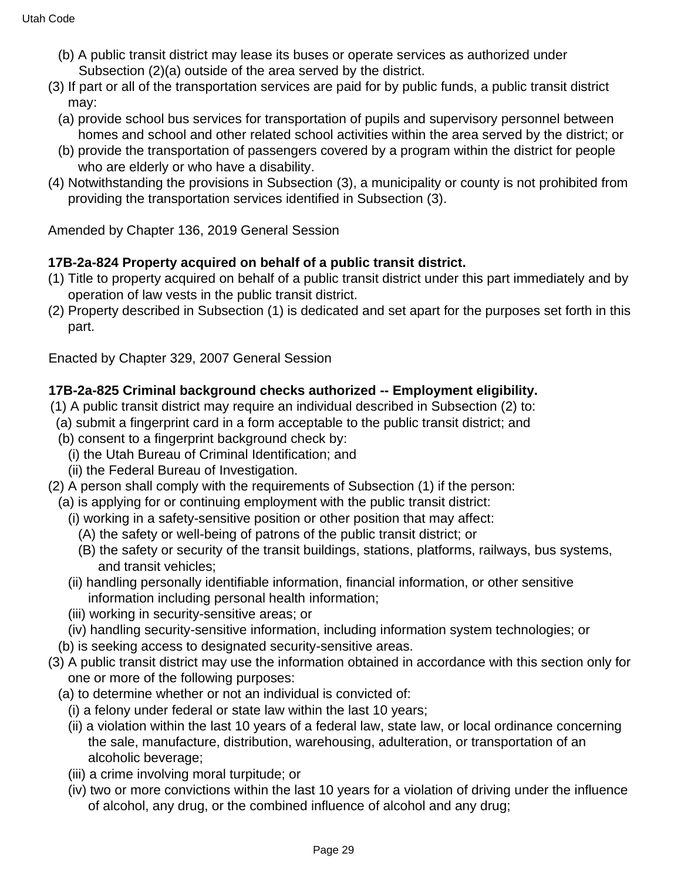- (b) A public transit district may lease its buses or operate services as authorized under Subsection (2)(a) outside of the area served by the district.
- (3) If part or all of the transportation services are paid for by public funds, a public transit district may:
	- (a) provide school bus services for transportation of pupils and supervisory personnel between homes and school and other related school activities within the area served by the district; or
	- (b) provide the transportation of passengers covered by a program within the district for people who are elderly or who have a disability.
- (4) Notwithstanding the provisions in Subsection (3), a municipality or county is not prohibited from providing the transportation services identified in Subsection (3).

Amended by Chapter 136, 2019 General Session

## **17B-2a-824 Property acquired on behalf of a public transit district.**

- (1) Title to property acquired on behalf of a public transit district under this part immediately and by operation of law vests in the public transit district.
- (2) Property described in Subsection (1) is dedicated and set apart for the purposes set forth in this part.

Enacted by Chapter 329, 2007 General Session

## **17B-2a-825 Criminal background checks authorized -- Employment eligibility.**

- (1) A public transit district may require an individual described in Subsection (2) to:
- (a) submit a fingerprint card in a form acceptable to the public transit district; and
- (b) consent to a fingerprint background check by:
	- (i) the Utah Bureau of Criminal Identification; and
	- (ii) the Federal Bureau of Investigation.
- (2) A person shall comply with the requirements of Subsection (1) if the person:
- (a) is applying for or continuing employment with the public transit district:
	- (i) working in a safety-sensitive position or other position that may affect:
		- (A) the safety or well-being of patrons of the public transit district; or
		- (B) the safety or security of the transit buildings, stations, platforms, railways, bus systems, and transit vehicles;
	- (ii) handling personally identifiable information, financial information, or other sensitive information including personal health information;
	- (iii) working in security-sensitive areas; or
	- (iv) handling security-sensitive information, including information system technologies; or
- (b) is seeking access to designated security-sensitive areas.
- (3) A public transit district may use the information obtained in accordance with this section only for one or more of the following purposes:
	- (a) to determine whether or not an individual is convicted of:
		- (i) a felony under federal or state law within the last 10 years;
		- (ii) a violation within the last 10 years of a federal law, state law, or local ordinance concerning the sale, manufacture, distribution, warehousing, adulteration, or transportation of an alcoholic beverage;
		- (iii) a crime involving moral turpitude; or
		- (iv) two or more convictions within the last 10 years for a violation of driving under the influence of alcohol, any drug, or the combined influence of alcohol and any drug;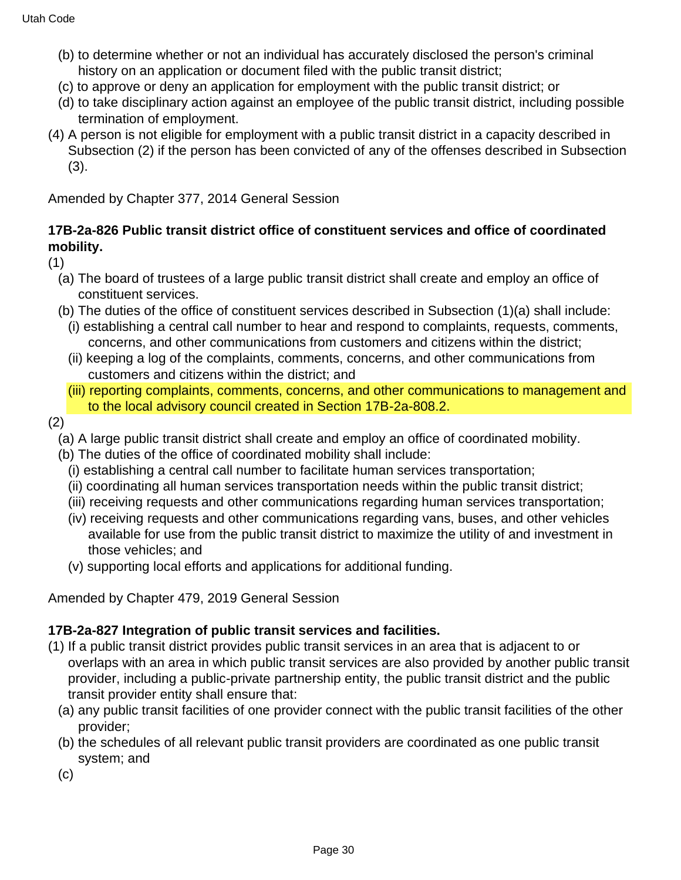- (b) to determine whether or not an individual has accurately disclosed the person's criminal history on an application or document filed with the public transit district;
- (c) to approve or deny an application for employment with the public transit district; or
- (d) to take disciplinary action against an employee of the public transit district, including possible termination of employment.
- (4) A person is not eligible for employment with a public transit district in a capacity described in Subsection (2) if the person has been convicted of any of the offenses described in Subsection (3).

Amended by Chapter 377, 2014 General Session

#### **17B-2a-826 Public transit district office of constituent services and office of coordinated mobility.**

(1)

- (a) The board of trustees of a large public transit district shall create and employ an office of constituent services.
- (b) The duties of the office of constituent services described in Subsection (1)(a) shall include:
	- (i) establishing a central call number to hear and respond to complaints, requests, comments, concerns, and other communications from customers and citizens within the district;
	- (ii) keeping a log of the complaints, comments, concerns, and other communications from customers and citizens within the district; and
	- (iii) reporting complaints, comments, concerns, and other communications to management and to the local advisory council created in Section 17B-2a-808.2.
- (2)
	- (a) A large public transit district shall create and employ an office of coordinated mobility.
	- (b) The duties of the office of coordinated mobility shall include:
		- (i) establishing a central call number to facilitate human services transportation;
		- (ii) coordinating all human services transportation needs within the public transit district;
		- (iii) receiving requests and other communications regarding human services transportation;
		- (iv) receiving requests and other communications regarding vans, buses, and other vehicles available for use from the public transit district to maximize the utility of and investment in those vehicles; and
		- (v) supporting local efforts and applications for additional funding.

Amended by Chapter 479, 2019 General Session

### **17B-2a-827 Integration of public transit services and facilities.**

- (1) If a public transit district provides public transit services in an area that is adjacent to or overlaps with an area in which public transit services are also provided by another public transit provider, including a public-private partnership entity, the public transit district and the public transit provider entity shall ensure that:
	- (a) any public transit facilities of one provider connect with the public transit facilities of the other provider;
	- (b) the schedules of all relevant public transit providers are coordinated as one public transit system; and
	- (c)